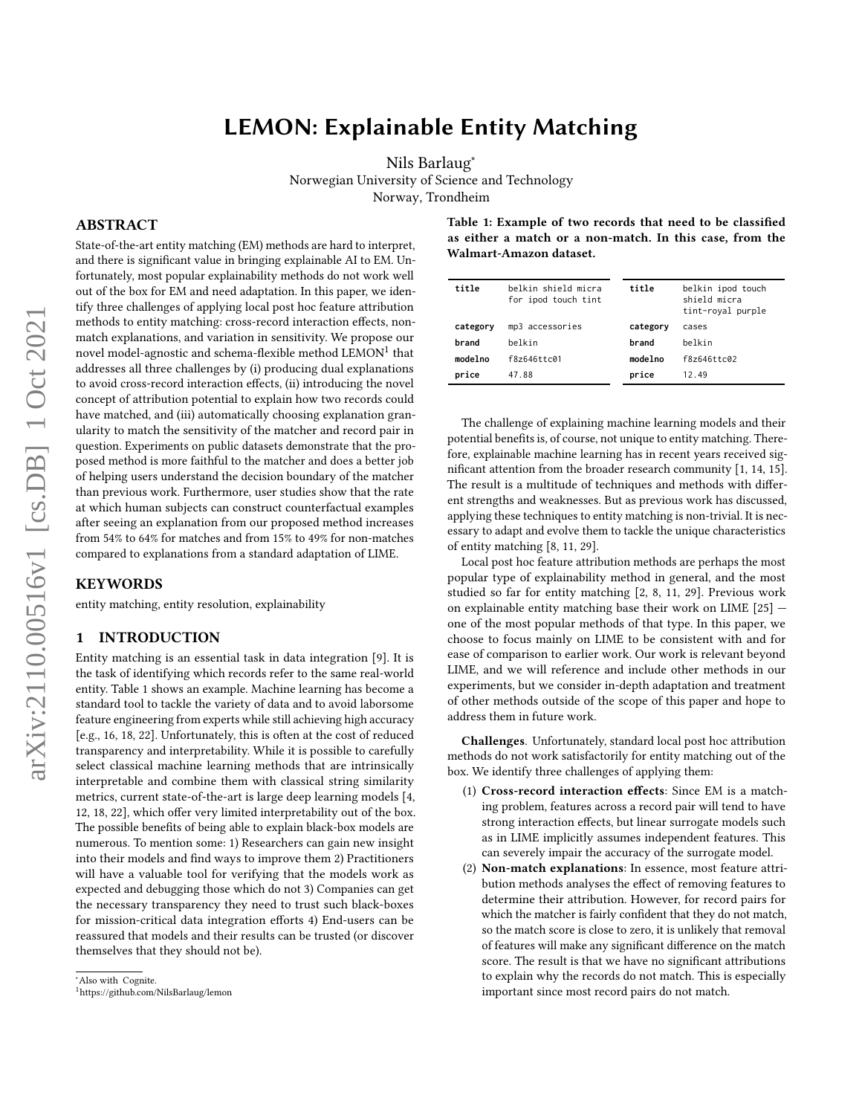# LEMON: Explainable Entity Matching

[Nils Barlaug](https://orcid.org/0000-0003-4618-9702)<sup>∗</sup>

Norwegian University of Science and Technology

Norway, Trondheim

# ABSTRACT

arXiv:2110.00516v1 [cs.DB] 1 Oct 2021 arXiv:2110.00516v1 [cs.DB] 1 Oct 2021 State-of-the-art entity matching (EM) methods are hard to interpret, and there is significant value in bringing explainable AI to EM. Unfortunately, most popular explainability methods do not work well out of the box for EM and need adaptation. In this paper, we identify three challenges of applying local post hoc feature attribution methods to entity matching: cross-record interaction effects, nonmatch explanations, and variation in sensitivity. We propose our novel model-agnostic and schema-flexible method  $LEMON<sup>1</sup>$  $LEMON<sup>1</sup>$  $LEMON<sup>1</sup>$  that addresses all three challenges by (i) producing dual explanations to avoid cross-record interaction effects, (ii) introducing the novel concept of attribution potential to explain how two records could have matched, and (iii) automatically choosing explanation granularity to match the sensitivity of the matcher and record pair in question. Experiments on public datasets demonstrate that the proposed method is more faithful to the matcher and does a better job of helping users understand the decision boundary of the matcher than previous work. Furthermore, user studies show that the rate at which human subjects can construct counterfactual examples after seeing an explanation from our proposed method increases from 54% to 64% for matches and from 15% to 49% for non-matches compared to explanations from a standard adaptation of LIME.

# **KEYWORDS**

entity matching, entity resolution, explainability

# <span id="page-0-3"></span>1 INTRODUCTION

Entity matching is an essential task in data integration [\[9\]](#page-12-0). It is the task of identifying which records refer to the same real-world entity. Table [1](#page-0-1) shows an example. Machine learning has become a standard tool to tackle the variety of data and to avoid laborsome feature engineering from experts while still achieving high accuracy [e.g., [16,](#page-12-1) [18,](#page-12-2) [22\]](#page-12-3). Unfortunately, this is often at the cost of reduced transparency and interpretability. While it is possible to carefully select classical machine learning methods that are intrinsically interpretable and combine them with classical string similarity metrics, current state-of-the-art is large deep learning models [\[4,](#page-11-0) [12,](#page-12-4) [18,](#page-12-2) [22\]](#page-12-3), which offer very limited interpretability out of the box. The possible benefits of being able to explain black-box models are numerous. To mention some: 1) Researchers can gain new insight into their models and find ways to improve them 2) Practitioners will have a valuable tool for verifying that the models work as expected and debugging those which do not 3) Companies can get the necessary transparency they need to trust such black-boxes for mission-critical data integration efforts 4) End-users can be reassured that models and their results can be trusted (or discover themselves that they should not be).

<span id="page-0-1"></span>Table 1: Example of two records that need to be classified as either a match or a non-match. In this case, from the Walmart-Amazon dataset.

| title    | belkin shield micra<br>for ipod touch tint | title    | belkin ipod touch<br>shield micra<br>tint-royal purple |
|----------|--------------------------------------------|----------|--------------------------------------------------------|
| category | mp3 accessories                            | category | cases                                                  |
| brand    | belkin                                     | brand    | belkin                                                 |
| modelno  | f8z646ttc01                                | modelno  | f8z646ttc02                                            |
| price    | 47.88                                      | price    | 12.49                                                  |

The challenge of explaining machine learning models and their potential benefits is, of course, not unique to entity matching. Therefore, explainable machine learning has in recent years received significant attention from the broader research community [\[1,](#page-11-1) [14,](#page-12-5) [15\]](#page-12-6). The result is a multitude of techniques and methods with different strengths and weaknesses. But as previous work has discussed, applying these techniques to entity matching is non-trivial. It is necessary to adapt and evolve them to tackle the unique characteristics of entity matching [\[8,](#page-12-7) [11,](#page-12-8) [29\]](#page-12-9).

Local post hoc feature attribution methods are perhaps the most popular type of explainability method in general, and the most studied so far for entity matching [\[2,](#page-11-2) [8,](#page-12-7) [11,](#page-12-8) [29\]](#page-12-9). Previous work on explainable entity matching base their work on LIME [\[25\]](#page-12-10) one of the most popular methods of that type. In this paper, we choose to focus mainly on LIME to be consistent with and for ease of comparison to earlier work. Our work is relevant beyond LIME, and we will reference and include other methods in our experiments, but we consider in-depth adaptation and treatment of other methods outside of the scope of this paper and hope to address them in future work.

Challenges. Unfortunately, standard local post hoc attribution methods do not work satisfactorily for entity matching out of the box. We identify three challenges of applying them:

- <span id="page-0-4"></span>(1) Cross-record interaction effects: Since EM is a matching problem, features across a record pair will tend to have strong interaction effects, but linear surrogate models such as in LIME implicitly assumes independent features. This can severely impair the accuracy of the surrogate model.
- <span id="page-0-2"></span>(2) Non-match explanations: In essence, most feature attribution methods analyses the effect of removing features to determine their attribution. However, for record pairs for which the matcher is fairly confident that they do not match, so the match score is close to zero, it is unlikely that removal of features will make any significant difference on the match score. The result is that we have no significant attributions to explain why the records do not match. This is especially important since most record pairs do not match.

<sup>∗</sup>Also with Cognite.

<span id="page-0-0"></span><sup>1</sup><https://github.com/NilsBarlaug/lemon>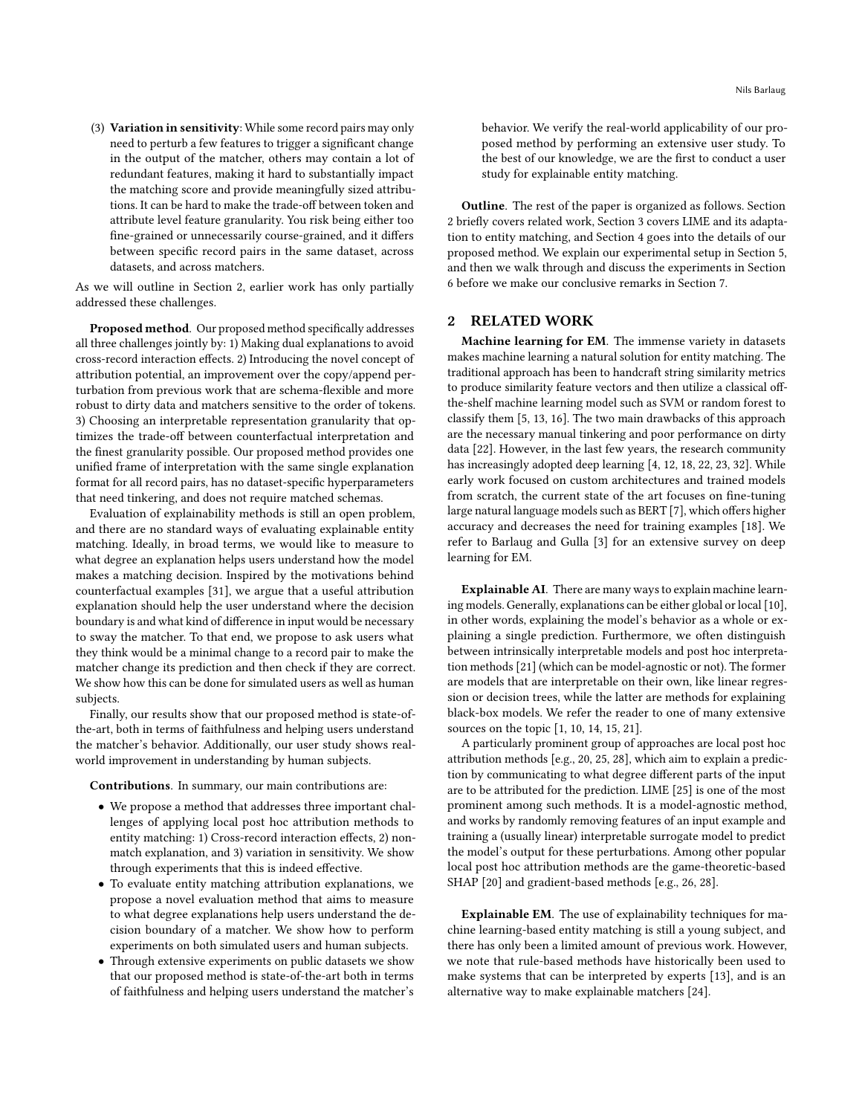<span id="page-1-1"></span>(3) Variation in sensitivity: While some record pairs may only need to perturb a few features to trigger a significant change in the output of the matcher, others may contain a lot of redundant features, making it hard to substantially impact the matching score and provide meaningfully sized attributions. It can be hard to make the trade-off between token and attribute level feature granularity. You risk being either too fine-grained or unnecessarily course-grained, and it differs between specific record pairs in the same dataset, across datasets, and across matchers.

As we will outline in Section [2,](#page-1-0) earlier work has only partially addressed these challenges.

Proposed method. Our proposed method specifically addresses all three challenges jointly by: 1) Making dual explanations to avoid cross-record interaction effects. 2) Introducing the novel concept of attribution potential, an improvement over the copy/append perturbation from previous work that are schema-flexible and more robust to dirty data and matchers sensitive to the order of tokens. 3) Choosing an interpretable representation granularity that optimizes the trade-off between counterfactual interpretation and the finest granularity possible. Our proposed method provides one unified frame of interpretation with the same single explanation format for all record pairs, has no dataset-specific hyperparameters that need tinkering, and does not require matched schemas.

Evaluation of explainability methods is still an open problem, and there are no standard ways of evaluating explainable entity matching. Ideally, in broad terms, we would like to measure to what degree an explanation helps users understand how the model makes a matching decision. Inspired by the motivations behind counterfactual examples [\[31\]](#page-12-11), we argue that a useful attribution explanation should help the user understand where the decision boundary is and what kind of difference in input would be necessary to sway the matcher. To that end, we propose to ask users what they think would be a minimal change to a record pair to make the matcher change its prediction and then check if they are correct. We show how this can be done for simulated users as well as human subjects.

Finally, our results show that our proposed method is state-ofthe-art, both in terms of faithfulness and helping users understand the matcher's behavior. Additionally, our user study shows realworld improvement in understanding by human subjects.

Contributions. In summary, our main contributions are:

- We propose a method that addresses three important challenges of applying local post hoc attribution methods to entity matching: 1) Cross-record interaction effects, 2) nonmatch explanation, and 3) variation in sensitivity. We show through experiments that this is indeed effective.
- To evaluate entity matching attribution explanations, we propose a novel evaluation method that aims to measure to what degree explanations help users understand the decision boundary of a matcher. We show how to perform experiments on both simulated users and human subjects.
- Through extensive experiments on public datasets we show that our proposed method is state-of-the-art both in terms of faithfulness and helping users understand the matcher's

behavior. We verify the real-world applicability of our proposed method by performing an extensive user study. To the best of our knowledge, we are the first to conduct a user study for explainable entity matching.

Outline. The rest of the paper is organized as follows. Section 2 briefly covers related work, Section 3 covers LIME and its adaptation to entity matching, and Section 4 goes into the details of our proposed method. We explain our experimental setup in Section 5, and then we walk through and discuss the experiments in Section 6 before we make our conclusive remarks in Section 7.

# <span id="page-1-0"></span>2 RELATED WORK

Machine learning for EM. The immense variety in datasets makes machine learning a natural solution for entity matching. The traditional approach has been to handcraft string similarity metrics to produce similarity feature vectors and then utilize a classical offthe-shelf machine learning model such as SVM or random forest to classify them [\[5,](#page-11-3) [13,](#page-12-12) [16\]](#page-12-1). The two main drawbacks of this approach are the necessary manual tinkering and poor performance on dirty data [\[22\]](#page-12-3). However, in the last few years, the research community has increasingly adopted deep learning [\[4,](#page-11-0) [12,](#page-12-4) [18,](#page-12-2) [22,](#page-12-3) [23,](#page-12-13) [32\]](#page-12-14). While early work focused on custom architectures and trained models from scratch, the current state of the art focuses on fine-tuning large natural language models such as BERT [\[7\]](#page-12-15), which offers higher accuracy and decreases the need for training examples [\[18\]](#page-12-2). We refer to Barlaug and Gulla [\[3\]](#page-11-4) for an extensive survey on deep learning for EM.

Explainable AI. There are many ways to explain machine learning models. Generally, explanations can be either global or local [\[10\]](#page-12-16), in other words, explaining the model's behavior as a whole or explaining a single prediction. Furthermore, we often distinguish between intrinsically interpretable models and post hoc interpretation methods [\[21\]](#page-12-17) (which can be model-agnostic or not). The former are models that are interpretable on their own, like linear regression or decision trees, while the latter are methods for explaining black-box models. We refer the reader to one of many extensive sources on the topic [\[1,](#page-11-1) [10,](#page-12-16) [14,](#page-12-5) [15,](#page-12-6) [21\]](#page-12-17).

A particularly prominent group of approaches are local post hoc attribution methods [e.g., [20,](#page-12-18) [25,](#page-12-10) [28\]](#page-12-19), which aim to explain a prediction by communicating to what degree different parts of the input are to be attributed for the prediction. LIME [\[25\]](#page-12-10) is one of the most prominent among such methods. It is a model-agnostic method, and works by randomly removing features of an input example and training a (usually linear) interpretable surrogate model to predict the model's output for these perturbations. Among other popular local post hoc attribution methods are the game-theoretic-based SHAP [\[20\]](#page-12-18) and gradient-based methods [e.g., [26,](#page-12-20) [28\]](#page-12-19).

Explainable EM. The use of explainability techniques for machine learning-based entity matching is still a young subject, and there has only been a limited amount of previous work. However, we note that rule-based methods have historically been used to make systems that can be interpreted by experts [\[13\]](#page-12-12), and is an alternative way to make explainable matchers [\[24\]](#page-12-21).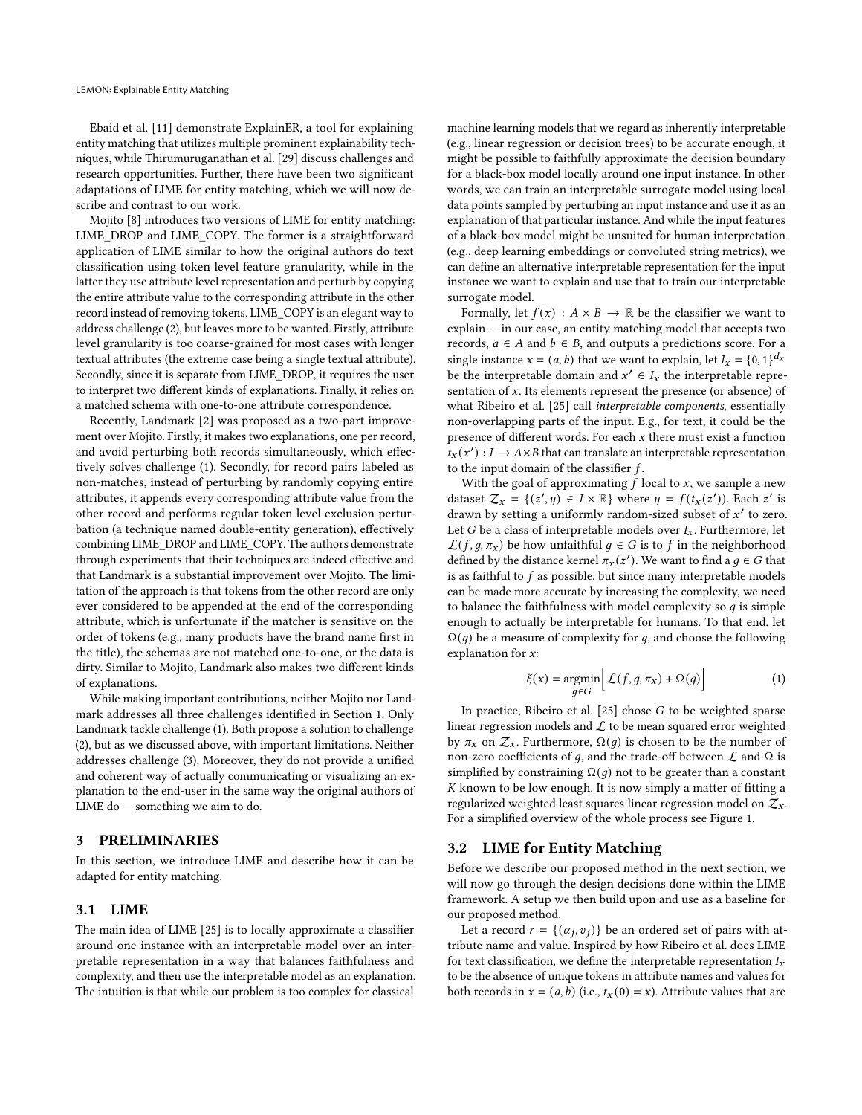Ebaid et al. [\[11\]](#page-12-8) demonstrate ExplainER, a tool for explaining entity matching that utilizes multiple prominent explainability techniques, while Thirumuruganathan et al. [\[29\]](#page-12-9) discuss challenges and research opportunities. Further, there have been two significant adaptations of LIME for entity matching, which we will now describe and contrast to our work.

Mojito [\[8\]](#page-12-7) introduces two versions of LIME for entity matching: LIME\_DROP and LIME\_COPY. The former is a straightforward application of LIME similar to how the original authors do text classification using token level feature granularity, while in the latter they use attribute level representation and perturb by copying the entire attribute value to the corresponding attribute in the other record instead of removing tokens. LIME\_COPY is an elegant way to address challenge [\(2\)](#page-0-2), but leaves more to be wanted. Firstly, attribute level granularity is too coarse-grained for most cases with longer textual attributes (the extreme case being a single textual attribute). Secondly, since it is separate from LIME\_DROP, it requires the user to interpret two different kinds of explanations. Finally, it relies on a matched schema with one-to-one attribute correspondence.

Recently, Landmark [\[2\]](#page-11-2) was proposed as a two-part improvement over Mojito. Firstly, it makes two explanations, one per record, and avoid perturbing both records simultaneously, which effectively solves challenge (1). Secondly, for record pairs labeled as non-matches, instead of perturbing by randomly copying entire attributes, it appends every corresponding attribute value from the other record and performs regular token level exclusion perturbation (a technique named double-entity generation), effectively combining LIME\_DROP and LIME\_COPY. The authors demonstrate through experiments that their techniques are indeed effective and that Landmark is a substantial improvement over Mojito. The limitation of the approach is that tokens from the other record are only ever considered to be appended at the end of the corresponding attribute, which is unfortunate if the matcher is sensitive on the order of tokens (e.g., many products have the brand name first in the title), the schemas are not matched one-to-one, or the data is dirty. Similar to Mojito, Landmark also makes two different kinds of explanations.

While making important contributions, neither Mojito nor Landmark addresses all three challenges identified in Section [1.](#page-0-3) Only Landmark tackle challenge [\(1\)](#page-0-4). Both propose a solution to challenge [\(2\)](#page-0-2), but as we discussed above, with important limitations. Neither addresses challenge [\(3\)](#page-1-1). Moreover, they do not provide a unified and coherent way of actually communicating or visualizing an explanation to the end-user in the same way the original authors of LIME do — something we aim to do.

# 3 PRELIMINARIES

In this section, we introduce LIME and describe how it can be adapted for entity matching.

# 3.1 LIME

The main idea of LIME [\[25\]](#page-12-10) is to locally approximate a classifier around one instance with an interpretable model over an interpretable representation in a way that balances faithfulness and complexity, and then use the interpretable model as an explanation. The intuition is that while our problem is too complex for classical

machine learning models that we regard as inherently interpretable (e.g., linear regression or decision trees) to be accurate enough, it might be possible to faithfully approximate the decision boundary for a black-box model locally around one input instance. In other words, we can train an interpretable surrogate model using local data points sampled by perturbing an input instance and use it as an explanation of that particular instance. And while the input features of a black-box model might be unsuited for human interpretation (e.g., deep learning embeddings or convoluted string metrics), we can define an alternative interpretable representation for the input instance we want to explain and use that to train our interpretable surrogate model.

Formally, let  $f(x) : A \times B \to \mathbb{R}$  be the classifier we want to explain — in our case, an entity matching model that accepts two records,  $a \in A$  and  $b \in B$ , and outputs a predictions score. For a single instance  $x = (a, b)$  that we want to explain, let  $I_x = \{0, 1\}^{d_x}$ be the interpretable domain and  $x' \in I_x$  the interpretable representation of  $x$ . Its elements represent the presence (or absence) of what Ribeiro et al. [\[25\]](#page-12-10) call interpretable components, essentially non-overlapping parts of the input. E.g., for text, it could be the presence of different words. For each  $x$  there must exist a function  $\overline{t}_x(x') : I \to A \times B$  that can translate an interpretable representation to the input domain of the classifier  $f$ .

With the goal of approximating  $f$  local to  $x$ , we sample a new dataset  $\mathcal{Z}_x = \{(z', y) \in I \times \mathbb{R}\}\$  where  $y = f(t_x(z'))$ . Each  $z'$  is drawn by setting a uniformly random-sized subset of  $x'$  to zero. Let G be a class of interpretable models over  $I_x$ . Furthermore, let  $\mathcal{L}(f, g, \pi_X)$  be how unfaithful  $g \in G$  is to f in the neighborhood defined by the distance kernel  $\pi_x(z')$ . We want to find a  $g \in G$  that is as faithful to  $f$  as possible, but since many interpretable models can be made more accurate by increasing the complexity, we need to balance the faithfulness with model complexity so  $q$  is simple enough to actually be interpretable for humans. To that end, let  $\Omega(q)$  be a measure of complexity for g, and choose the following explanation for  $x$ :

$$
\xi(x) = \underset{g \in G}{\text{argmin}} \Big[ \mathcal{L}(f, g, \pi_x) + \Omega(g) \Big] \tag{1}
$$

In practice, Ribeiro et al.  $[25]$  chose  $G$  to be weighted sparse linear regression models and  $\mathcal L$  to be mean squared error weighted by  $\pi_x$  on  $\mathcal{Z}_x$ . Furthermore,  $\Omega(g)$  is chosen to be the number of non-zero coefficients of *g*, and the trade-off between  $\mathcal L$  and  $\Omega$  is simplified by constraining  $\Omega(q)$  not to be greater than a constant  $K$  known to be low enough. It is now simply a matter of fitting a regularized weighted least squares linear regression model on  $\mathcal{Z}_x$ . For a simplified overview of the whole process see Figure [1.](#page-3-0)

# <span id="page-2-0"></span>3.2 LIME for Entity Matching

Before we describe our proposed method in the next section, we will now go through the design decisions done within the LIME framework. A setup we then build upon and use as a baseline for our proposed method.

Let a record  $r = \{(\alpha_j, v_j)\}\$ be an ordered set of pairs with attribute name and value. Inspired by how [Ribeiro et al.](#page-12-10) does LIME for text classification, we define the interpretable representation  $I_x$ to be the absence of unique tokens in attribute names and values for both records in  $x = (a, b)$  (i.e.,  $t_x(0) = x$ ). Attribute values that are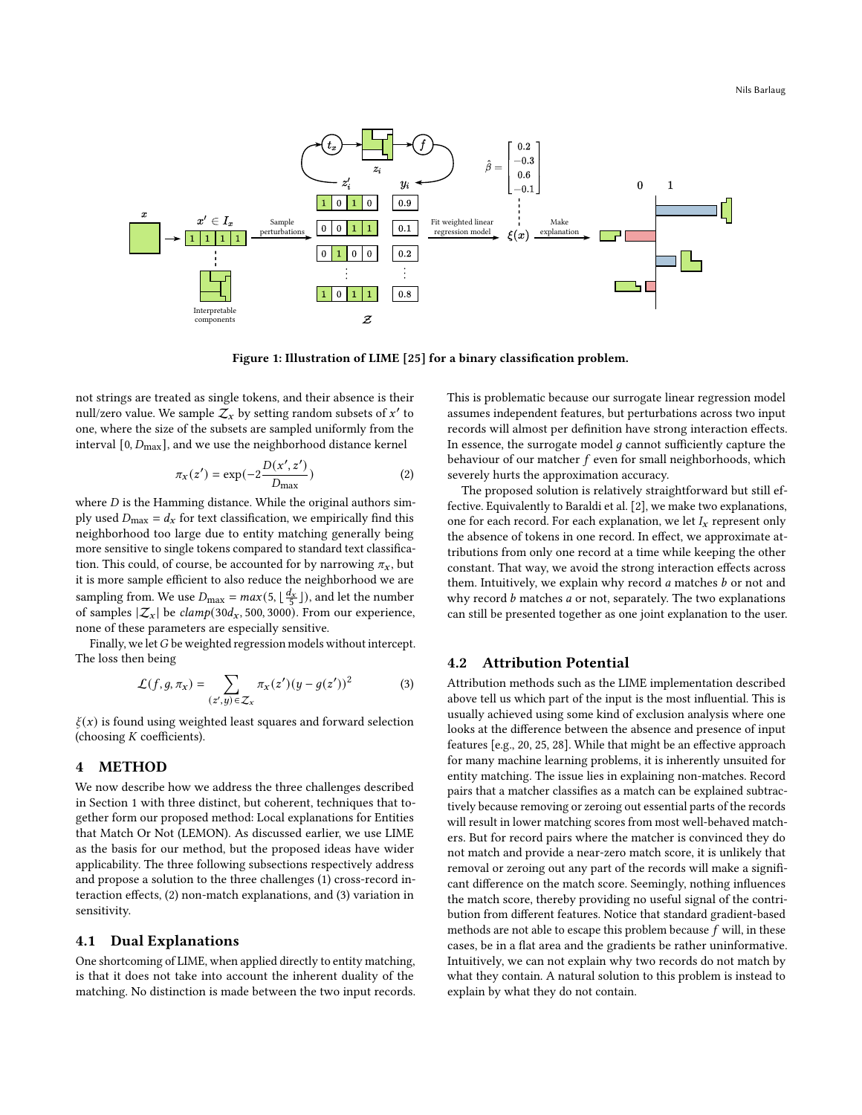<span id="page-3-0"></span>

Figure 1: Illustration of LIME [\[25\]](#page-12-10) for a binary classification problem.

not strings are treated as single tokens, and their absence is their null/zero value. We sample  $\bar{Z}_x$  by setting random subsets of  $x'$  to one, where the size of the subsets are sampled uniformly from the interval  $[0, D_{\text{max}}]$ , and we use the neighborhood distance kernel

$$
\pi_X(z') = \exp(-2\frac{D(x', z')}{D_{\text{max}}})
$$
\n(2)

where  $D$  is the Hamming distance. While the original authors simply used  $D_{\text{max}} = d_x$  for text classification, we empirically find this neighborhood too large due to entity matching generally being more sensitive to single tokens compared to standard text classification. This could, of course, be accounted for by narrowing  $\pi_x$ , but it is more sample efficient to also reduce the neighborhood we are sampling from. We use  $D_{\text{max}} = max(5, \lfloor \frac{d_x}{5} \rfloor)$ , and let the number of samples  $|\mathcal{Z}_x|$  be  $\text{clamp}(30d_x, 500, 3000)$ . From our experience, none of these parameters are especially sensitive.

Finally, we let  $G$  be weighted regression models without intercept. The loss then being

$$
\mathcal{L}(f,g,\pi_x) = \sum_{(z',y)\in\mathcal{Z}_x} \pi_x(z')(y - g(z'))^2 \tag{3}
$$

 $\xi(x)$  is found using weighted least squares and forward selection (choosing  $K$  coefficients).

# 4 METHOD

We now describe how we address the three challenges described in Section [1](#page-0-3) with three distinct, but coherent, techniques that together form our proposed method: Local explanations for Entities that Match Or Not (LEMON). As discussed earlier, we use LIME as the basis for our method, but the proposed ideas have wider applicability. The three following subsections respectively address and propose a solution to the three challenges (1) cross-record interaction effects, (2) non-match explanations, and (3) variation in sensitivity.

# 4.1 Dual Explanations

One shortcoming of LIME, when applied directly to entity matching, is that it does not take into account the inherent duality of the matching. No distinction is made between the two input records.

This is problematic because our surrogate linear regression model assumes independent features, but perturbations across two input records will almost per definition have strong interaction effects. In essence, the surrogate model  $q$  cannot sufficiently capture the behaviour of our matcher  $f$  even for small neighborhoods, which severely hurts the approximation accuracy.

The proposed solution is relatively straightforward but still effective. Equivalently to Baraldi et al. [\[2\]](#page-11-2), we make two explanations, one for each record. For each explanation, we let  $I_x$  represent only the absence of tokens in one record. In effect, we approximate attributions from only one record at a time while keeping the other constant. That way, we avoid the strong interaction effects across them. Intuitively, we explain why record  $a$  matches  $b$  or not and why record  $b$  matches  $a$  or not, separately. The two explanations can still be presented together as one joint explanation to the user.

## <span id="page-3-1"></span>4.2 Attribution Potential

Attribution methods such as the LIME implementation described above tell us which part of the input is the most influential. This is usually achieved using some kind of exclusion analysis where one looks at the difference between the absence and presence of input features [e.g., [20,](#page-12-18) [25,](#page-12-10) [28\]](#page-12-19). While that might be an effective approach for many machine learning problems, it is inherently unsuited for entity matching. The issue lies in explaining non-matches. Record pairs that a matcher classifies as a match can be explained subtractively because removing or zeroing out essential parts of the records will result in lower matching scores from most well-behaved matchers. But for record pairs where the matcher is convinced they do not match and provide a near-zero match score, it is unlikely that removal or zeroing out any part of the records will make a significant difference on the match score. Seemingly, nothing influences the match score, thereby providing no useful signal of the contribution from different features. Notice that standard gradient-based methods are not able to escape this problem because  $f$  will, in these cases, be in a flat area and the gradients be rather uninformative. Intuitively, we can not explain why two records do not match by what they contain. A natural solution to this problem is instead to explain by what they do not contain.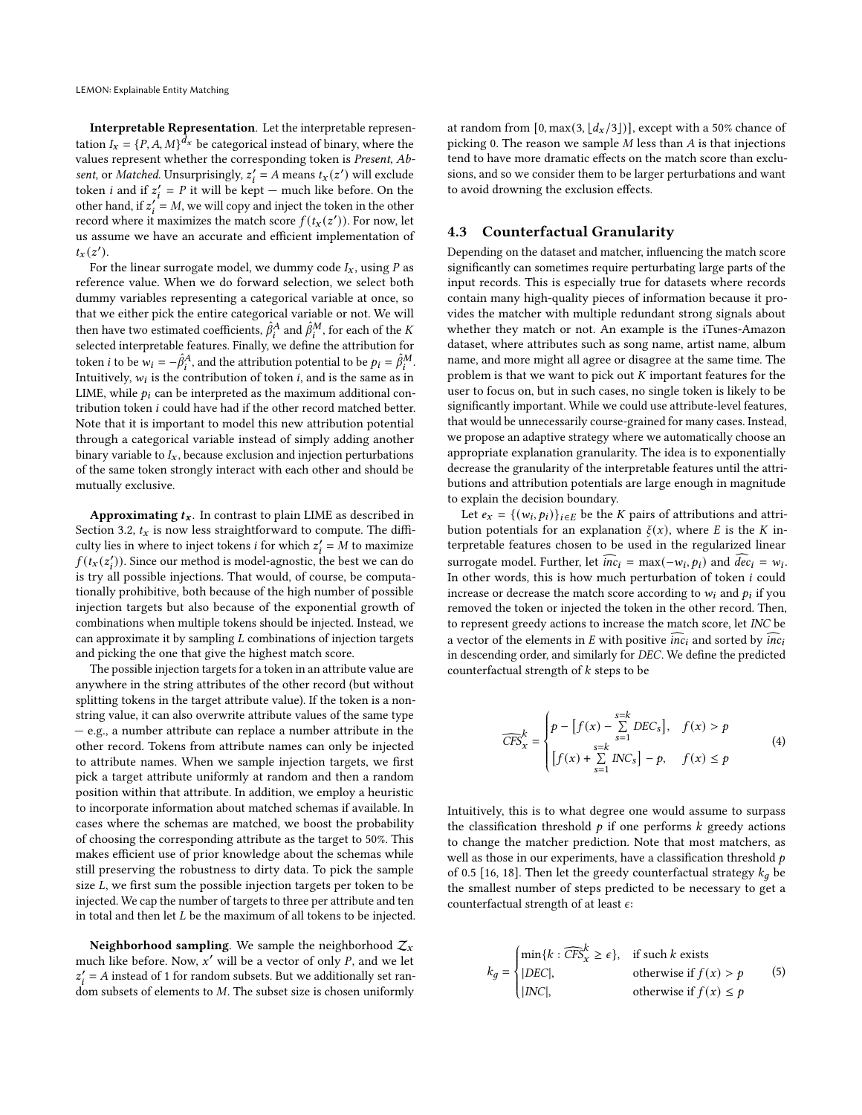Interpretable Representation. Let the interpretable representation  $I_x = \{P, A, M\}^{d_x}$  be categorical instead of binary, where the values represent whether the corresponding token is Present, Absent, or Matched. Unsurprisingly,  $z_i' = A$  means  $t_x(z')$  will exclude token *i* and if  $z'_i = P$  it will be kept – much like before. On the other hand, if  $z_i' = M$ , we will copy and inject the token in the other record where it maximizes the match score  $f(t_x(z'))$ . For now, let us assume we have an accurate and efficient implementation of  $t_x(z')$ .

For the linear surrogate model, we dummy code  $I_x$ , using  $P$  as reference value. When we do forward selection, we select both dummy variables representing a categorical variable at once, so that we either pick the entire categorical variable or not. We will then have two estimated coefficients,  $\hat{\beta}_i^A$  and  $\hat{\beta}_i^M$  , for each of the  $K$ selected interpretable features. Finally, we define the attribution for token *i* to be  $w_i = -\hat{\beta}_i^A$ , and the attribution potential to be  $p_i = \hat{\beta}_i^M$ . Intuitively,  $w_i$  is the contribution of token *i*, and is the same as in LIME, while  $p_i$  can be interpreted as the maximum additional contribution token  $i$  could have had if the other record matched better. Note that it is important to model this new attribution potential through a categorical variable instead of simply adding another binary variable to  $I_x$ , because exclusion and injection perturbations of the same token strongly interact with each other and should be mutually exclusive.

Approximating  $t_x$ . In contrast to plain LIME as described in Section [3.2,](#page-2-0)  $t_x$  is now less straightforward to compute. The difficulty lies in where to inject tokens *i* for which  $z'_{i} = M$  to maximize  $f(t_x(z'_i))$ . Since our method is model-agnostic, the best we can do is try all possible injections. That would, of course, be computationally prohibitive, both because of the high number of possible injection targets but also because of the exponential growth of combinations when multiple tokens should be injected. Instead, we can approximate it by sampling  $L$  combinations of injection targets and picking the one that give the highest match score.

The possible injection targets for a token in an attribute value are anywhere in the string attributes of the other record (but without splitting tokens in the target attribute value). If the token is a nonstring value, it can also overwrite attribute values of the same type — e.g., a number attribute can replace a number attribute in the other record. Tokens from attribute names can only be injected to attribute names. When we sample injection targets, we first pick a target attribute uniformly at random and then a random position within that attribute. In addition, we employ a heuristic to incorporate information about matched schemas if available. In cases where the schemas are matched, we boost the probability of choosing the corresponding attribute as the target to 50%. This makes efficient use of prior knowledge about the schemas while still preserving the robustness to dirty data. To pick the sample size  $L$ , we first sum the possible injection targets per token to be injected. We cap the number of targets to three per attribute and ten in total and then let  $L$  be the maximum of all tokens to be injected.

Neighborhood sampling. We sample the neighborhood  $\mathcal{Z}_x$ much like before. Now,  $x'$  will be a vector of only P, and we let  $z'_i = A$  instead of 1 for random subsets. But we additionally set random subsets of elements to  $M$ . The subset size is chosen uniformly

at random from  $[0, \max(3, \lfloor d_x/3 \rfloor)]$ , except with a 50% chance of picking 0. The reason we sample  $M$  less than  $A$  is that injections tend to have more dramatic effects on the match score than exclusions, and so we consider them to be larger perturbations and want to avoid drowning the exclusion effects.

# <span id="page-4-0"></span>4.3 Counterfactual Granularity

Depending on the dataset and matcher, influencing the match score significantly can sometimes require perturbating large parts of the input records. This is especially true for datasets where records contain many high-quality pieces of information because it provides the matcher with multiple redundant strong signals about whether they match or not. An example is the iTunes-Amazon dataset, where attributes such as song name, artist name, album name, and more might all agree or disagree at the same time. The problem is that we want to pick out  $K$  important features for the user to focus on, but in such cases, no single token is likely to be significantly important. While we could use attribute-level features, that would be unnecessarily course-grained for many cases. Instead, we propose an adaptive strategy where we automatically choose an appropriate explanation granularity. The idea is to exponentially decrease the granularity of the interpretable features until the attributions and attribution potentials are large enough in magnitude to explain the decision boundary.

Let  $e_x = \{(w_i, p_i)\}_{i \in E}$  be the *K* pairs of attributions and attribution potentials for an explanation  $\xi(x)$ , where E is the K interpretable features chosen to be used in the regularized linear surrogate model. Further, let  $\widehat{inc}_i = \max(-w_i, p_i)$  and  $\widehat{dec}_i = w_i$ . In other words, this is how much perturbation of token  $i$  could increase or decrease the match score according to  $w_i$  and  $p_i$  if you removed the token or injected the token in the other record. Then, to represent greedy actions to increase the match score, let INC be a vector of the elements in  $E$  with positive  $\overline{inc_i}$  and sorted by  $\overline{inc_i}$ in descending order, and similarly for DEC. We define the predicted counterfactual strength of  $k$  steps to be

$$
\widehat{CFS}_x^k = \begin{cases} p - \left[f(x) - \sum_{s=k}^{s=k} DEC_s\right], & f(x) > p \\ \left[f(x) + \sum_{s=1}^{s=k} INC_s\right] - p, & f(x) \le p \end{cases} \tag{4}
$$

Intuitively, this is to what degree one would assume to surpass the classification threshold  $p$  if one performs  $k$  greedy actions to change the matcher prediction. Note that most matchers, as well as those in our experiments, have a classification threshold  $p$ of 0.5 [\[16,](#page-12-1) [18\]](#page-12-2). Then let the greedy counterfactual strategy  $k_a$  be the smallest number of steps predicted to be necessary to get a counterfactual strength of at least  $\epsilon$ :

$$
k_g = \begin{cases} \min\{k : \widehat{CFS}_x^k \ge \epsilon\}, & \text{if such } k \text{ exists} \\ |DEC|, & \text{otherwise if } f(x) > p \\ |INC|, & \text{otherwise if } f(x) \le p \end{cases}
$$
(5)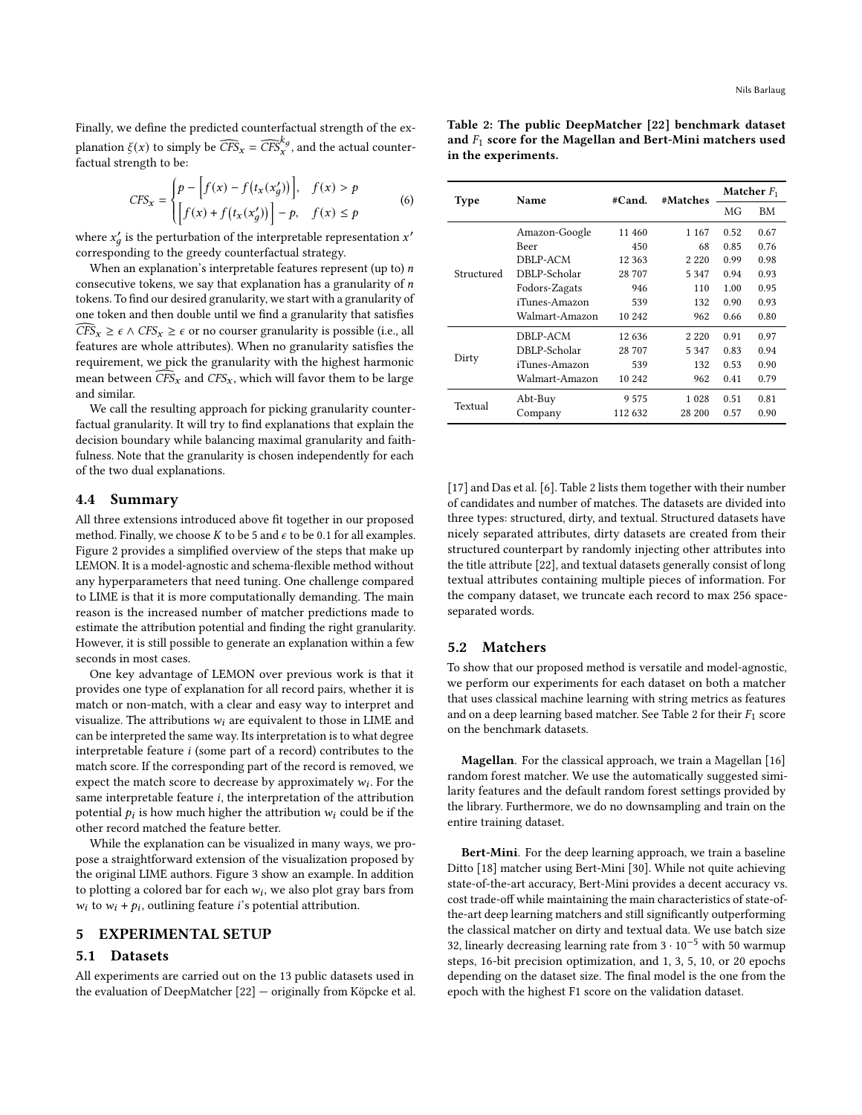Finally, we define the predicted counterfactual strength of the explanation  $\xi(x)$  to simply be  $\widehat{CFS}_x = \widehat{CFS}_x^{k_g}$ , and the actual counterfactual strength to be:

$$
CFS_x = \begin{cases} p - \left[ f(x) - f(t_x(x'_g)) \right], & f(x) > p \\ \left[ f(x) + f(t_x(x'_g)) \right] - p, & f(x) \le p \end{cases}
$$
 (6)

where  $x'_g$  is the perturbation of the interpretable representation  $x'$ corresponding to the greedy counterfactual strategy.

When an explanation's interpretable features represent (up to)  $n$ consecutive tokens, we say that explanation has a granularity of  $n$ tokens. To find our desired granularity, we start with a granularity of one token and then double until we find a granularity that satisfies  $\widehat{CFS}_x \geq \epsilon \wedge \widehat{CFS}_x \geq \epsilon$  or no courser granularity is possible (i.e., all features are whole attributes). When no granularity satisfies the requirement, we pick the granularity with the highest harmonic mean between  $\widehat{CFS}_x$  and  $CFS_x$ , which will favor them to be large and similar.

We call the resulting approach for picking granularity counterfactual granularity. It will try to find explanations that explain the decision boundary while balancing maximal granularity and faithfulness. Note that the granularity is chosen independently for each of the two dual explanations.

#### 4.4 Summary

All three extensions introduced above fit together in our proposed method. Finally, we choose  $K$  to be 5 and  $\epsilon$  to be 0.1 for all examples. Figure [2](#page-6-0) provides a simplified overview of the steps that make up LEMON. It is a model-agnostic and schema-flexible method without any hyperparameters that need tuning. One challenge compared to LIME is that it is more computationally demanding. The main reason is the increased number of matcher predictions made to estimate the attribution potential and finding the right granularity. However, it is still possible to generate an explanation within a few seconds in most cases.

One key advantage of LEMON over previous work is that it provides one type of explanation for all record pairs, whether it is match or non-match, with a clear and easy way to interpret and visualize. The attributions  $w_i$  are equivalent to those in LIME and can be interpreted the same way. Its interpretation is to what degree interpretable feature  $i$  (some part of a record) contributes to the match score. If the corresponding part of the record is removed, we expect the match score to decrease by approximately  $w_i$ . For the same interpretable feature  $i$ , the interpretation of the attribution potential  $p_i$  is how much higher the attribution  $w_i$  could be if the other record matched the feature better.

While the explanation can be visualized in many ways, we propose a straightforward extension of the visualization proposed by the original LIME authors. Figure [3](#page-6-1) show an example. In addition to plotting a colored bar for each  $w_i$ , we also plot gray bars from  $w_i$  to  $w_i + p_i$ , outlining feature *i*'s potential attribution.

# 5 EXPERIMENTAL SETUP

## 5.1 Datasets

All experiments are carried out on the 13 public datasets used in the evaluation of DeepMatcher [\[22\]](#page-12-3) — originally from Köpcke et al.

<span id="page-5-0"></span>

| Table 2: The public DeepMatcher [22] benchmark dataset       |  |  |
|--------------------------------------------------------------|--|--|
| and $F_1$ score for the Magellan and Bert-Mini matchers used |  |  |
| in the experiments.                                          |  |  |

| Type       | Name           | #Cand.  | #Matches | Matcher $F_1$ |      |  |
|------------|----------------|---------|----------|---------------|------|--|
|            |                |         |          | МG            | BМ   |  |
|            | Amazon-Google  | 11 460  | 1 1 6 7  | 0.52          | 0.67 |  |
|            | Beer           | 450     | 68       | 0.85          | 0.76 |  |
|            | DBLP-ACM       | 12 363  | 2 2 2 0  | 0.99          | 0.98 |  |
| Structured | DBLP-Scholar   | 28 707  | 5 347    | 0.94          | 0.93 |  |
|            | Fodors-Zagats  | 946     | 110      | 1.00          | 0.95 |  |
|            | iTunes-Amazon  | 539     | 132      | 0.90          | 0.93 |  |
|            | Walmart-Amazon | 10 242  | 962      | 0.66          | 0.80 |  |
|            | DBLP-ACM       | 12 636  | 2 2 2 0  | 0.91          | 0.97 |  |
|            | DBLP-Scholar   | 28 707  | 5 3 4 7  | 0.83          | 0.94 |  |
| Dirty      | iTunes-Amazon  | 539     | 132      | 0.53          | 0.90 |  |
|            | Walmart-Amazon | 10 242  | 962      | 0.41          | 0.79 |  |
|            | Abt-Buy        | 9575    | 1 0 2 8  | 0.51          | 0.81 |  |
| Textual    | Company        | 112 632 | 28 200   | 0.57          | 0.90 |  |

[\[17\]](#page-12-22) and Das et al. [\[6\]](#page-12-23). Table [2](#page-5-0) lists them together with their number of candidates and number of matches. The datasets are divided into three types: structured, dirty, and textual. Structured datasets have nicely separated attributes, dirty datasets are created from their structured counterpart by randomly injecting other attributes into the title attribute [\[22\]](#page-12-3), and textual datasets generally consist of long textual attributes containing multiple pieces of information. For the company dataset, we truncate each record to max 256 spaceseparated words.

# 5.2 Matchers

To show that our proposed method is versatile and model-agnostic, we perform our experiments for each dataset on both a matcher that uses classical machine learning with string metrics as features and on a deep learning based matcher. See Table [2](#page-5-0) for their  $F_1$  score on the benchmark datasets.

Magellan. For the classical approach, we train a Magellan [\[16\]](#page-12-1) random forest matcher. We use the automatically suggested similarity features and the default random forest settings provided by the library. Furthermore, we do no downsampling and train on the entire training dataset.

Bert-Mini. For the deep learning approach, we train a baseline Ditto [\[18\]](#page-12-2) matcher using Bert-Mini [\[30\]](#page-12-24). While not quite achieving state-of-the-art accuracy, Bert-Mini provides a decent accuracy vs. cost trade-off while maintaining the main characteristics of state-ofthe-art deep learning matchers and still significantly outperforming the classical matcher on dirty and textual data. We use batch size 32, linearly decreasing learning rate from <sup>3</sup> · <sup>10</sup>−<sup>5</sup> with 50 warmup steps, 16-bit precision optimization, and 1, 3, 5, 10, or 20 epochs depending on the dataset size. The final model is the one from the epoch with the highest F1 score on the validation dataset.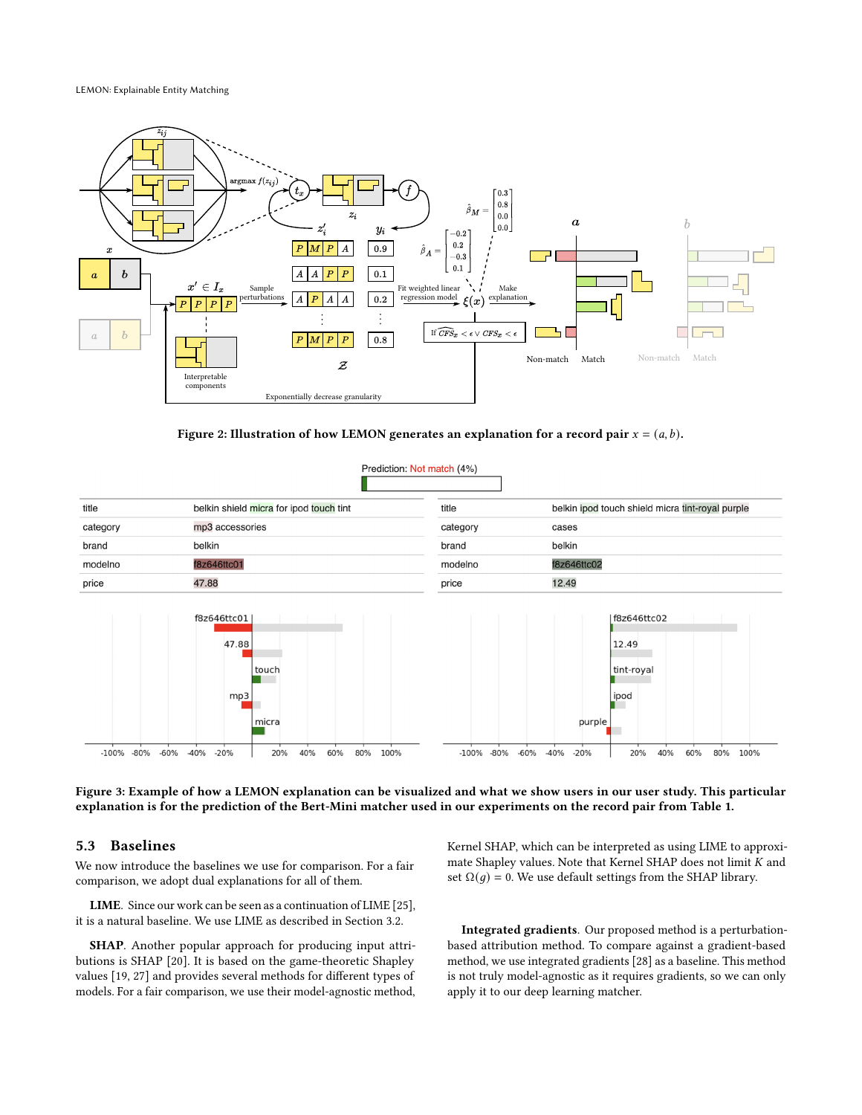LEMON: Explainable Entity Matching

<span id="page-6-0"></span>

Figure 2: Illustration of how LEMON generates an explanation for a record pair  $x = (a, b)$ .

Prediction: Not match (4%)

<span id="page-6-1"></span>

| title    | belkin shield micra for ipod touch tint | title    | belkin ipod touch shield micra tint-royal purple |
|----------|-----------------------------------------|----------|--------------------------------------------------|
| category | mp3 accessories                         | category | cases                                            |
| brand    | belkin                                  | brand    | belkin                                           |
| modelno  | f8z646ttc01                             | modelno  | f8z646ttc02                                      |
| price    | 47.88                                   | price    | 12.49                                            |



Figure 3: Example of how a LEMON explanation can be visualized and what we show users in our user study. This particular explanation is for the prediction of the Bert-Mini matcher used in our experiments on the record pair from Table [1.](#page-0-1)

# 5.3 Baselines

We now introduce the baselines we use for comparison. For a fair comparison, we adopt dual explanations for all of them.

LIME. Since our work can be seen as a continuation of LIME [\[25\]](#page-12-10), it is a natural baseline. We use LIME as described in Section [3.2.](#page-2-0)

SHAP. Another popular approach for producing input attributions is SHAP [\[20\]](#page-12-18). It is based on the game-theoretic Shapley values [\[19,](#page-12-25) [27\]](#page-12-26) and provides several methods for different types of models. For a fair comparison, we use their model-agnostic method,

Kernel SHAP, which can be interpreted as using LIME to approximate Shapley values. Note that Kernel SHAP does not limit  $K$  and set  $\Omega(q) = 0$ . We use default settings from the SHAP library.

Integrated gradients. Our proposed method is a perturbationbased attribution method. To compare against a gradient-based method, we use integrated gradients [\[28\]](#page-12-19) as a baseline. This method is not truly model-agnostic as it requires gradients, so we can only apply it to our deep learning matcher.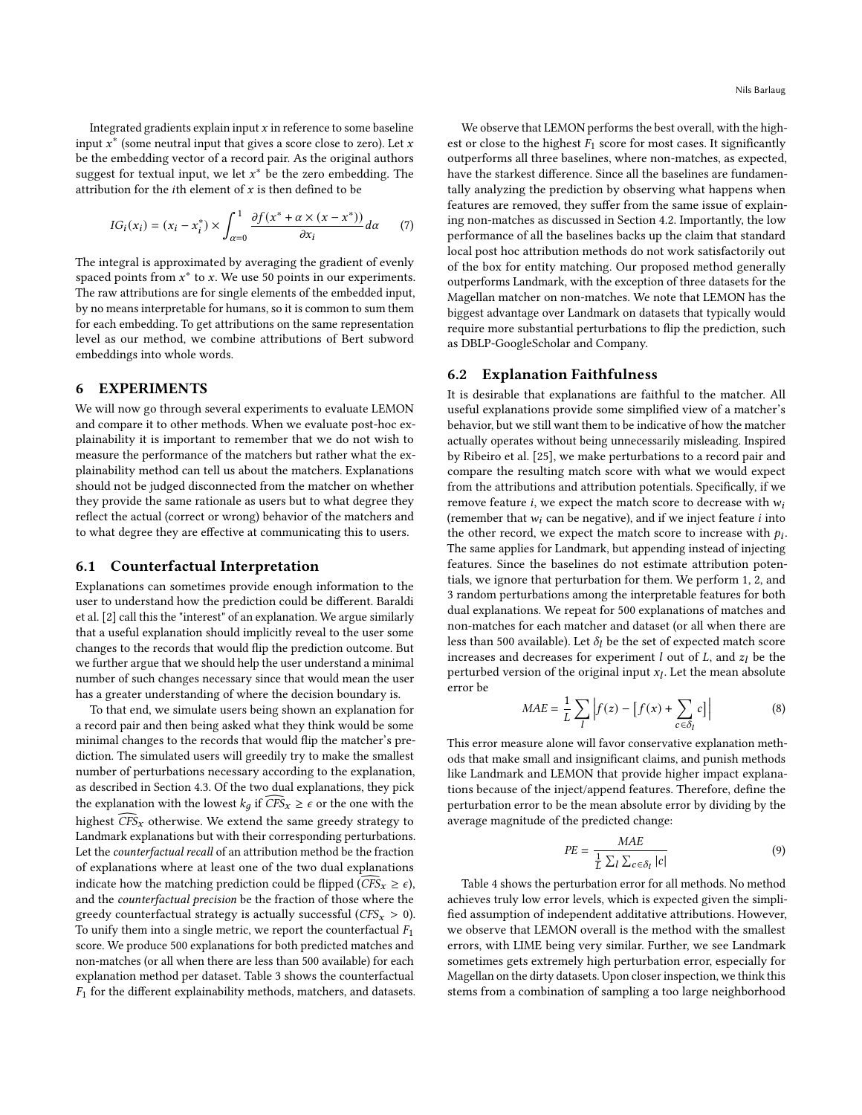Integrated gradients explain input  $x$  in reference to some baseline input  $x^*$  (some neutral input that gives a score close to zero). Let x be the embedding vector of a record pair. As the original authors suggest for textual input, we let  $x^*$  be the zero embedding. The attribution for the *i*th element of  $x$  is then defined to be

$$
IG_i(x_i) = (x_i - x_i^*) \times \int_{\alpha=0}^1 \frac{\partial f(x^* + \alpha \times (x - x^*))}{\partial x_i} d\alpha \qquad (7)
$$

The integral is approximated by averaging the gradient of evenly spaced points from  $x^*$  to x. We use 50 points in our experiments. The raw attributions are for single elements of the embedded input, by no means interpretable for humans, so it is common to sum them for each embedding. To get attributions on the same representation level as our method, we combine attributions of Bert subword embeddings into whole words.

## 6 EXPERIMENTS

We will now go through several experiments to evaluate LEMON and compare it to other methods. When we evaluate post-hoc explainability it is important to remember that we do not wish to measure the performance of the matchers but rather what the explainability method can tell us about the matchers. Explanations should not be judged disconnected from the matcher on whether they provide the same rationale as users but to what degree they reflect the actual (correct or wrong) behavior of the matchers and to what degree they are effective at communicating this to users.

# <span id="page-7-0"></span>6.1 Counterfactual Interpretation

Explanations can sometimes provide enough information to the user to understand how the prediction could be different. Baraldi et al. [\[2\]](#page-11-2) call this the "interest" of an explanation. We argue similarly that a useful explanation should implicitly reveal to the user some changes to the records that would flip the prediction outcome. But we further argue that we should help the user understand a minimal number of such changes necessary since that would mean the user has a greater understanding of where the decision boundary is.

To that end, we simulate users being shown an explanation for a record pair and then being asked what they think would be some minimal changes to the records that would flip the matcher's prediction. The simulated users will greedily try to make the smallest number of perturbations necessary according to the explanation, as described in Section [4.3.](#page-4-0) Of the two dual explanations, they pick the explanation with the lowest  $k_q$  if  $\widehat{CFS}_x \geq \epsilon$  or the one with the highest  $\widehat{CFS}_x$  otherwise. We extend the same greedy strategy to Landmark explanations but with their corresponding perturbations. Let the counterfactual recall of an attribution method be the fraction of explanations where at least one of the two dual explanations indicate how the matching prediction could be flipped ( $\widehat{CFS}_x \geq \epsilon$ ), and the counterfactual precision be the fraction of those where the greedy counterfactual strategy is actually successful ( $CFS<sub>x</sub> > 0$ ). To unify them into a single metric, we report the counterfactual  $F_1$ score. We produce 500 explanations for both predicted matches and non-matches (or all when there are less than 500 available) for each explanation method per dataset. Table [3](#page-8-0) shows the counterfactual  $F_1$  for the different explainability methods, matchers, and datasets.

We observe that LEMON performs the best overall, with the highest or close to the highest  $F_1$  score for most cases. It significantly outperforms all three baselines, where non-matches, as expected, have the starkest difference. Since all the baselines are fundamentally analyzing the prediction by observing what happens when features are removed, they suffer from the same issue of explaining non-matches as discussed in Section [4.2.](#page-3-1) Importantly, the low performance of all the baselines backs up the claim that standard local post hoc attribution methods do not work satisfactorily out of the box for entity matching. Our proposed method generally outperforms Landmark, with the exception of three datasets for the Magellan matcher on non-matches. We note that LEMON has the biggest advantage over Landmark on datasets that typically would require more substantial perturbations to flip the prediction, such as DBLP-GoogleScholar and Company.

# 6.2 Explanation Faithfulness

It is desirable that explanations are faithful to the matcher. All useful explanations provide some simplified view of a matcher's behavior, but we still want them to be indicative of how the matcher actually operates without being unnecessarily misleading. Inspired by Ribeiro et al. [\[25\]](#page-12-10), we make perturbations to a record pair and compare the resulting match score with what we would expect from the attributions and attribution potentials. Specifically, if we remove feature  $i$ , we expect the match score to decrease with  $w_i$ (remember that  $w_i$  can be negative), and if we inject feature  $i$  into the other record, we expect the match score to increase with  $p_i$ . The same applies for Landmark, but appending instead of injecting features. Since the baselines do not estimate attribution potentials, we ignore that perturbation for them. We perform 1, 2, and 3 random perturbations among the interpretable features for both dual explanations. We repeat for 500 explanations of matches and non-matches for each matcher and dataset (or all when there are less than 500 available). Let  $\delta_l$  be the set of expected match score increases and decreases for experiment  $l$  out of  $L$ , and  $z_l$  be the perturbed version of the original input  $x_l$ . Let the mean absolute error be

$$
MAE = \frac{1}{L} \sum_{l} \left| f(z) - \left[ f(x) + \sum_{c \in \delta_l} c \right] \right| \tag{8}
$$

This error measure alone will favor conservative explanation methods that make small and insignificant claims, and punish methods like Landmark and LEMON that provide higher impact explanations because of the inject/append features. Therefore, define the perturbation error to be the mean absolute error by dividing by the average magnitude of the predicted change:

$$
PE = \frac{MAE}{\frac{1}{L} \sum_{l} \sum_{c \in \delta_l} |c|} \tag{9}
$$

Table [4](#page-9-0) shows the perturbation error for all methods. No method achieves truly low error levels, which is expected given the simplified assumption of independent additative attributions. However, we observe that LEMON overall is the method with the smallest errors, with LIME being very similar. Further, we see Landmark sometimes gets extremely high perturbation error, especially for Magellan on the dirty datasets. Upon closer inspection, we think this stems from a combination of sampling a too large neighborhood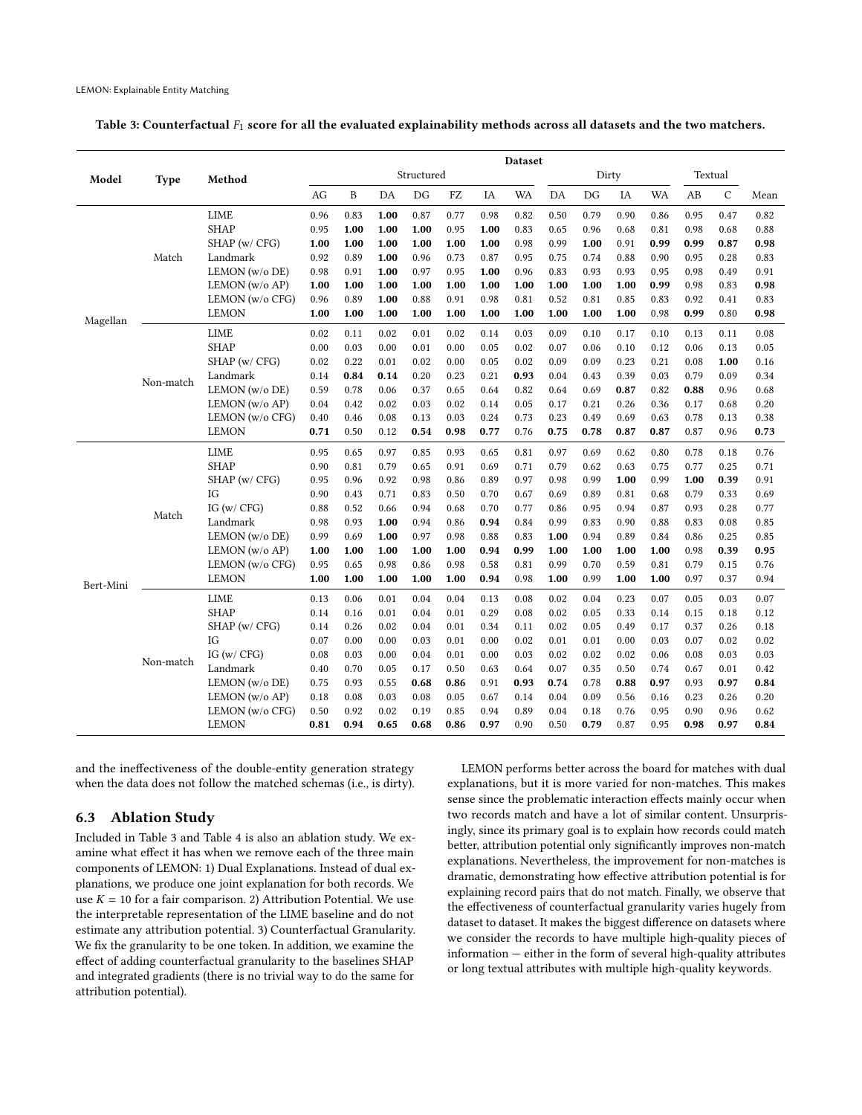<span id="page-8-0"></span>Table 3: Counterfactual  $F_1$  score for all the evaluated explainability methods across all datasets and the two matchers.

|           |             |                    | Dataset    |              |      |      |      |      |           |       |      |      |           |                        |              |      |
|-----------|-------------|--------------------|------------|--------------|------|------|------|------|-----------|-------|------|------|-----------|------------------------|--------------|------|
| Model     | <b>Type</b> | Method             | Structured |              |      |      |      |      |           | Dirty |      |      |           |                        | Textual      |      |
|           |             |                    | AG         | $\, {\bf B}$ | DA   | DG   | FZ   | IA   | <b>WA</b> | DA    | DG   | IA   | <b>WA</b> | $\mathbf{A}\mathbf{B}$ | $\mathsf{C}$ | Mean |
|           |             | <b>LIME</b>        | 0.96       | 0.83         | 1.00 | 0.87 | 0.77 | 0.98 | 0.82      | 0.50  | 0.79 | 0.90 | 0.86      | 0.95                   | 0.47         | 0.82 |
|           |             | <b>SHAP</b>        | 0.95       | 1.00         | 1.00 | 1.00 | 0.95 | 1.00 | 0.83      | 0.65  | 0.96 | 0.68 | 0.81      | 0.98                   | 0.68         | 0.88 |
|           |             | SHAP (w/ CFG)      | 1.00       | 1.00         | 1.00 | 1.00 | 1.00 | 1.00 | 0.98      | 0.99  | 1.00 | 0.91 | 0.99      | 0.99                   | 0.87         | 0.98 |
|           | Match       | Landmark           | 0.92       | 0.89         | 1.00 | 0.96 | 0.73 | 0.87 | 0.95      | 0.75  | 0.74 | 0.88 | 0.90      | 0.95                   | 0.28         | 0.83 |
|           |             | LEMON (w/o DE)     | 0.98       | 0.91         | 1.00 | 0.97 | 0.95 | 1.00 | 0.96      | 0.83  | 0.93 | 0.93 | 0.95      | 0.98                   | 0.49         | 0.91 |
|           |             | LEMON (w/o AP)     | 1.00       | 1.00         | 1.00 | 1.00 | 1.00 | 1.00 | 1.00      | 1.00  | 1.00 | 1.00 | 0.99      | 0.98                   | 0.83         | 0.98 |
|           |             | LEMON (w/o CFG)    | 0.96       | 0.89         | 1.00 | 0.88 | 0.91 | 0.98 | 0.81      | 0.52  | 0.81 | 0.85 | 0.83      | 0.92                   | 0.41         | 0.83 |
| Magellan  |             | <b>LEMON</b>       | 1.00       | 1.00         | 1.00 | 1.00 | 1.00 | 1.00 | 1.00      | 1.00  | 1.00 | 1.00 | 0.98      | 0.99                   | 0.80         | 0.98 |
|           |             | <b>LIME</b>        | 0.02       | 0.11         | 0.02 | 0.01 | 0.02 | 0.14 | 0.03      | 0.09  | 0.10 | 0.17 | 0.10      | 0.13                   | 0.11         | 0.08 |
|           |             | <b>SHAP</b>        | 0.00       | 0.03         | 0.00 | 0.01 | 0.00 | 0.05 | 0.02      | 0.07  | 0.06 | 0.10 | 0.12      | 0.06                   | 0.13         | 0.05 |
|           |             | SHAP (w/ CFG)      | 0.02       | 0.22         | 0.01 | 0.02 | 0.00 | 0.05 | 0.02      | 0.09  | 0.09 | 0.23 | 0.21      | 0.08                   | 1.00         | 0.16 |
|           | Non-match   | Landmark           | 0.14       | 0.84         | 0.14 | 0.20 | 0.23 | 0.21 | 0.93      | 0.04  | 0.43 | 0.39 | 0.03      | 0.79                   | 0.09         | 0.34 |
|           |             | LEMON (w/o DE)     | 0.59       | 0.78         | 0.06 | 0.37 | 0.65 | 0.64 | 0.82      | 0.64  | 0.69 | 0.87 | 0.82      | 0.88                   | 0.96         | 0.68 |
|           |             | LEMON (w/o AP)     | 0.04       | 0.42         | 0.02 | 0.03 | 0.02 | 0.14 | 0.05      | 0.17  | 0.21 | 0.26 | 0.36      | 0.17                   | 0.68         | 0.20 |
|           |             | LEMON (w/o CFG)    | 0.40       | 0.46         | 0.08 | 0.13 | 0.03 | 0.24 | 0.73      | 0.23  | 0.49 | 0.69 | 0.63      | 0.78                   | 0.13         | 0.38 |
|           |             | <b>LEMON</b>       | 0.71       | 0.50         | 0.12 | 0.54 | 0.98 | 0.77 | 0.76      | 0.75  | 0.78 | 0.87 | 0.87      | 0.87                   | 0.96         | 0.73 |
|           |             | <b>LIME</b>        | 0.95       | 0.65         | 0.97 | 0.85 | 0.93 | 0.65 | 0.81      | 0.97  | 0.69 | 0.62 | 0.80      | 0.78                   | 0.18         | 0.76 |
|           |             | <b>SHAP</b>        | 0.90       | 0.81         | 0.79 | 0.65 | 0.91 | 0.69 | 0.71      | 0.79  | 0.62 | 0.63 | 0.75      | 0.77                   | 0.25         | 0.71 |
|           |             | SHAP (w/ CFG)      | 0.95       | 0.96         | 0.92 | 0.98 | 0.86 | 0.89 | 0.97      | 0.98  | 0.99 | 1.00 | 0.99      | 1.00                   | 0.39         | 0.91 |
|           |             | IG                 | 0.90       | 0.43         | 0.71 | 0.83 | 0.50 | 0.70 | 0.67      | 0.69  | 0.89 | 0.81 | 0.68      | 0.79                   | 0.33         | 0.69 |
|           | Match       | IG $(w / CFG)$     | 0.88       | 0.52         | 0.66 | 0.94 | 0.68 | 0.70 | 0.77      | 0.86  | 0.95 | 0.94 | 0.87      | 0.93                   | 0.28         | 0.77 |
|           |             | Landmark           | 0.98       | 0.93         | 1.00 | 0.94 | 0.86 | 0.94 | 0.84      | 0.99  | 0.83 | 0.90 | 0.88      | 0.83                   | 0.08         | 0.85 |
|           |             | LEMON (w/o DE)     | 0.99       | 0.69         | 1.00 | 0.97 | 0.98 | 0.88 | 0.83      | 1.00  | 0.94 | 0.89 | 0.84      | 0.86                   | 0.25         | 0.85 |
|           |             | LEMON ( $w/o AP$ ) | 1.00       | 1.00         | 1.00 | 1.00 | 1.00 | 0.94 | 0.99      | 1.00  | 1.00 | 1.00 | 1.00      | 0.98                   | 0.39         | 0.95 |
|           |             | LEMON (w/o CFG)    | 0.95       | 0.65         | 0.98 | 0.86 | 0.98 | 0.58 | 0.81      | 0.99  | 0.70 | 0.59 | 0.81      | 0.79                   | 0.15         | 0.76 |
| Bert-Mini |             | <b>LEMON</b>       | 1.00       | 1.00         | 1.00 | 1.00 | 1.00 | 0.94 | 0.98      | 1.00  | 0.99 | 1.00 | 1.00      | 0.97                   | 0.37         | 0.94 |
|           |             | <b>LIME</b>        | 0.13       | 0.06         | 0.01 | 0.04 | 0.04 | 0.13 | 0.08      | 0.02  | 0.04 | 0.23 | 0.07      | 0.05                   | 0.03         | 0.07 |
|           |             | <b>SHAP</b>        | 0.14       | 0.16         | 0.01 | 0.04 | 0.01 | 0.29 | 0.08      | 0.02  | 0.05 | 0.33 | 0.14      | 0.15                   | 0.18         | 0.12 |
|           |             | SHAP (w/ CFG)      | 0.14       | 0.26         | 0.02 | 0.04 | 0.01 | 0.34 | 0.11      | 0.02  | 0.05 | 0.49 | 0.17      | 0.37                   | 0.26         | 0.18 |
|           |             | IG                 | 0.07       | 0.00         | 0.00 | 0.03 | 0.01 | 0.00 | 0.02      | 0.01  | 0.01 | 0.00 | 0.03      | 0.07                   | 0.02         | 0.02 |
|           | Non-match   | IG $(w / CFG)$     | 0.08       | 0.03         | 0.00 | 0.04 | 0.01 | 0.00 | 0.03      | 0.02  | 0.02 | 0.02 | 0.06      | 0.08                   | 0.03         | 0.03 |
|           |             | Landmark           | 0.40       | 0.70         | 0.05 | 0.17 | 0.50 | 0.63 | 0.64      | 0.07  | 0.35 | 0.50 | 0.74      | 0.67                   | 0.01         | 0.42 |
|           |             | LEMON (w/o DE)     | 0.75       | 0.93         | 0.55 | 0.68 | 0.86 | 0.91 | 0.93      | 0.74  | 0.78 | 0.88 | 0.97      | 0.93                   | 0.97         | 0.84 |
|           |             | LEMON $(w/o AP)$   | 0.18       | 0.08         | 0.03 | 0.08 | 0.05 | 0.67 | 0.14      | 0.04  | 0.09 | 0.56 | 0.16      | 0.23                   | 0.26         | 0.20 |
|           |             | LEMON (w/o CFG)    | 0.50       | 0.92         | 0.02 | 0.19 | 0.85 | 0.94 | 0.89      | 0.04  | 0.18 | 0.76 | 0.95      | 0.90                   | 0.96         | 0.62 |
|           |             | <b>LEMON</b>       | 0.81       | 0.94         | 0.65 | 0.68 | 0.86 | 0.97 | 0.90      | 0.50  | 0.79 | 0.87 | 0.95      | 0.98                   | 0.97         | 0.84 |

and the ineffectiveness of the double-entity generation strategy when the data does not follow the matched schemas (i.e., is dirty).

# 6.3 Ablation Study

Included in Table [3](#page-8-0) and Table [4](#page-9-0) is also an ablation study. We examine what effect it has when we remove each of the three main components of LEMON: 1) Dual Explanations. Instead of dual explanations, we produce one joint explanation for both records. We use  $K = 10$  for a fair comparison. 2) Attribution Potential. We use the interpretable representation of the LIME baseline and do not estimate any attribution potential. 3) Counterfactual Granularity. We fix the granularity to be one token. In addition, we examine the effect of adding counterfactual granularity to the baselines SHAP and integrated gradients (there is no trivial way to do the same for attribution potential).

LEMON performs better across the board for matches with dual explanations, but it is more varied for non-matches. This makes sense since the problematic interaction effects mainly occur when two records match and have a lot of similar content. Unsurprisingly, since its primary goal is to explain how records could match better, attribution potential only significantly improves non-match explanations. Nevertheless, the improvement for non-matches is dramatic, demonstrating how effective attribution potential is for explaining record pairs that do not match. Finally, we observe that the effectiveness of counterfactual granularity varies hugely from dataset to dataset. It makes the biggest difference on datasets where we consider the records to have multiple high-quality pieces of information — either in the form of several high-quality attributes or long textual attributes with multiple high-quality keywords.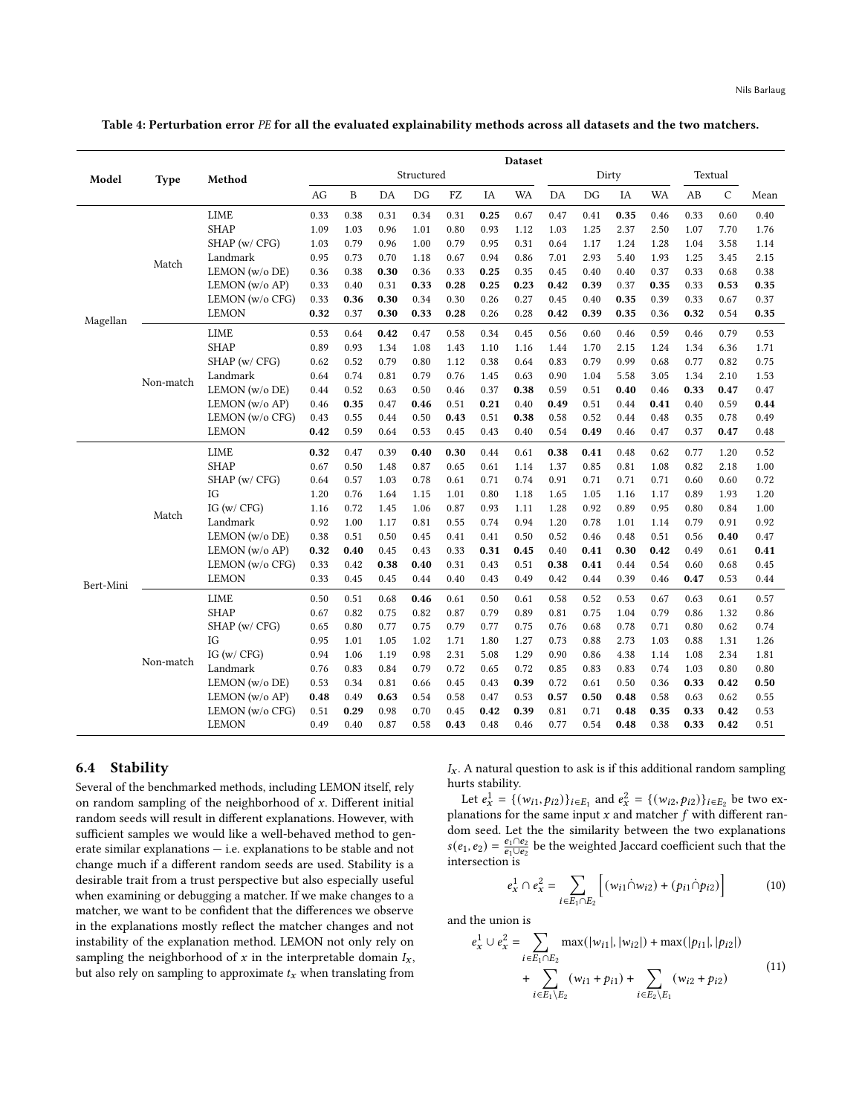<span id="page-9-0"></span>Table 4: Perturbation error PE for all the evaluated explainability methods across all datasets and the two matchers.

|           |           |                    | <b>Dataset</b> |      |      |      |      |      |      |      |       |      |           |         |             |      |
|-----------|-----------|--------------------|----------------|------|------|------|------|------|------|------|-------|------|-----------|---------|-------------|------|
| Model     | Type      | Method             | Structured     |      |      |      |      |      |      |      | Dirty |      |           | Textual |             |      |
|           |           |                    | AG             | B    | DA   | DG   | FZ   | IA   | WA   | DA   | DG    | IA   | <b>WA</b> | AB      | $\mathsf C$ | Mean |
|           |           | <b>LIME</b>        | 0.33           | 0.38 | 0.31 | 0.34 | 0.31 | 0.25 | 0.67 | 0.47 | 0.41  | 0.35 | 0.46      | 0.33    | 0.60        | 0.40 |
|           |           | <b>SHAP</b>        | 1.09           | 1.03 | 0.96 | 1.01 | 0.80 | 0.93 | 1.12 | 1.03 | 1.25  | 2.37 | 2.50      | 1.07    | 7.70        | 1.76 |
|           |           | SHAP (w/ CFG)      | 1.03           | 0.79 | 0.96 | 1.00 | 0.79 | 0.95 | 0.31 | 0.64 | 1.17  | 1.24 | 1.28      | 1.04    | 3.58        | 1.14 |
|           | Match     | Landmark           | 0.95           | 0.73 | 0.70 | 1.18 | 0.67 | 0.94 | 0.86 | 7.01 | 2.93  | 5.40 | 1.93      | 1.25    | 3.45        | 2.15 |
|           |           | LEMON (w/o DE)     | 0.36           | 0.38 | 0.30 | 0.36 | 0.33 | 0.25 | 0.35 | 0.45 | 0.40  | 0.40 | 0.37      | 0.33    | 0.68        | 0.38 |
|           |           | LEMON ( $w/o AP$ ) | 0.33           | 0.40 | 0.31 | 0.33 | 0.28 | 0.25 | 0.23 | 0.42 | 0.39  | 0.37 | 0.35      | 0.33    | 0.53        | 0.35 |
|           |           | LEMON (w/o CFG)    | 0.33           | 0.36 | 0.30 | 0.34 | 0.30 | 0.26 | 0.27 | 0.45 | 0.40  | 0.35 | 0.39      | 0.33    | 0.67        | 0.37 |
| Magellan  |           | <b>LEMON</b>       | 0.32           | 0.37 | 0.30 | 0.33 | 0.28 | 0.26 | 0.28 | 0.42 | 0.39  | 0.35 | 0.36      | 0.32    | 0.54        | 0.35 |
|           |           | <b>LIME</b>        | 0.53           | 0.64 | 0.42 | 0.47 | 0.58 | 0.34 | 0.45 | 0.56 | 0.60  | 0.46 | 0.59      | 0.46    | 0.79        | 0.53 |
|           |           | <b>SHAP</b>        | 0.89           | 0.93 | 1.34 | 1.08 | 1.43 | 1.10 | 1.16 | 1.44 | 1.70  | 2.15 | 1.24      | 1.34    | 6.36        | 1.71 |
|           |           | SHAP (w/ CFG)      | 0.62           | 0.52 | 0.79 | 0.80 | 1.12 | 0.38 | 0.64 | 0.83 | 0.79  | 0.99 | 0.68      | 0.77    | 0.82        | 0.75 |
|           | Non-match | Landmark           | 0.64           | 0.74 | 0.81 | 0.79 | 0.76 | 1.45 | 0.63 | 0.90 | 1.04  | 5.58 | 3.05      | 1.34    | 2.10        | 1.53 |
|           |           | LEMON (w/o DE)     | 0.44           | 0.52 | 0.63 | 0.50 | 0.46 | 0.37 | 0.38 | 0.59 | 0.51  | 0.40 | 0.46      | 0.33    | 0.47        | 0.47 |
|           |           | LEMON (w/o AP)     | 0.46           | 0.35 | 0.47 | 0.46 | 0.51 | 0.21 | 0.40 | 0.49 | 0.51  | 0.44 | 0.41      | 0.40    | 0.59        | 0.44 |
|           |           | LEMON (w/o CFG)    | 0.43           | 0.55 | 0.44 | 0.50 | 0.43 | 0.51 | 0.38 | 0.58 | 0.52  | 0.44 | 0.48      | 0.35    | 0.78        | 0.49 |
|           |           | <b>LEMON</b>       | 0.42           | 0.59 | 0.64 | 0.53 | 0.45 | 0.43 | 0.40 | 0.54 | 0.49  | 0.46 | 0.47      | 0.37    | 0.47        | 0.48 |
|           |           | <b>LIME</b>        | 0.32           | 0.47 | 0.39 | 0.40 | 0.30 | 0.44 | 0.61 | 0.38 | 0.41  | 0.48 | 0.62      | 0.77    | 1.20        | 0.52 |
|           |           | <b>SHAP</b>        | 0.67           | 0.50 | 1.48 | 0.87 | 0.65 | 0.61 | 1.14 | 1.37 | 0.85  | 0.81 | 1.08      | 0.82    | 2.18        | 1.00 |
|           |           | SHAP (w/ CFG)      | 0.64           | 0.57 | 1.03 | 0.78 | 0.61 | 0.71 | 0.74 | 0.91 | 0.71  | 0.71 | 0.71      | 0.60    | 0.60        | 0.72 |
|           |           | IG                 | 1.20           | 0.76 | 1.64 | 1.15 | 1.01 | 0.80 | 1.18 | 1.65 | 1.05  | 1.16 | 1.17      | 0.89    | 1.93        | 1.20 |
|           | Match     | IG $(w / CFG)$     | 1.16           | 0.72 | 1.45 | 1.06 | 0.87 | 0.93 | 1.11 | 1.28 | 0.92  | 0.89 | 0.95      | 0.80    | 0.84        | 1.00 |
|           |           | Landmark           | 0.92           | 1.00 | 1.17 | 0.81 | 0.55 | 0.74 | 0.94 | 1.20 | 0.78  | 1.01 | 1.14      | 0.79    | 0.91        | 0.92 |
|           |           | LEMON (w/o DE)     | 0.38           | 0.51 | 0.50 | 0.45 | 0.41 | 0.41 | 0.50 | 0.52 | 0.46  | 0.48 | 0.51      | 0.56    | 0.40        | 0.47 |
|           |           | LEMON (w/o AP)     | 0.32           | 0.40 | 0.45 | 0.43 | 0.33 | 0.31 | 0.45 | 0.40 | 0.41  | 0.30 | 0.42      | 0.49    | 0.61        | 0.41 |
|           |           | LEMON (w/o CFG)    | 0.33           | 0.42 | 0.38 | 0.40 | 0.31 | 0.43 | 0.51 | 0.38 | 0.41  | 0.44 | 0.54      | 0.60    | 0.68        | 0.45 |
| Bert-Mini |           | <b>LEMON</b>       | 0.33           | 0.45 | 0.45 | 0.44 | 0.40 | 0.43 | 0.49 | 0.42 | 0.44  | 0.39 | 0.46      | 0.47    | 0.53        | 0.44 |
|           |           | <b>LIME</b>        | 0.50           | 0.51 | 0.68 | 0.46 | 0.61 | 0.50 | 0.61 | 0.58 | 0.52  | 0.53 | 0.67      | 0.63    | 0.61        | 0.57 |
|           |           | <b>SHAP</b>        | 0.67           | 0.82 | 0.75 | 0.82 | 0.87 | 0.79 | 0.89 | 0.81 | 0.75  | 1.04 | 0.79      | 0.86    | 1.32        | 0.86 |
|           |           | SHAP (w/ CFG)      | 0.65           | 0.80 | 0.77 | 0.75 | 0.79 | 0.77 | 0.75 | 0.76 | 0.68  | 0.78 | 0.71      | 0.80    | 0.62        | 0.74 |
|           |           | IG                 | 0.95           | 1.01 | 1.05 | 1.02 | 1.71 | 1.80 | 1.27 | 0.73 | 0.88  | 2.73 | 1.03      | 0.88    | 1.31        | 1.26 |
|           | Non-match | IG $(w / CFG)$     | 0.94           | 1.06 | 1.19 | 0.98 | 2.31 | 5.08 | 1.29 | 0.90 | 0.86  | 4.38 | 1.14      | 1.08    | 2.34        | 1.81 |
|           |           | Landmark           | 0.76           | 0.83 | 0.84 | 0.79 | 0.72 | 0.65 | 0.72 | 0.85 | 0.83  | 0.83 | 0.74      | 1.03    | 0.80        | 0.80 |
|           |           | LEMON (w/o DE)     | 0.53           | 0.34 | 0.81 | 0.66 | 0.45 | 0.43 | 0.39 | 0.72 | 0.61  | 0.50 | 0.36      | 0.33    | 0.42        | 0.50 |
|           |           | LEMON (w/o AP)     | 0.48           | 0.49 | 0.63 | 0.54 | 0.58 | 0.47 | 0.53 | 0.57 | 0.50  | 0.48 | 0.58      | 0.63    | 0.62        | 0.55 |
|           |           | LEMON (w/o CFG)    | 0.51           | 0.29 | 0.98 | 0.70 | 0.45 | 0.42 | 0.39 | 0.81 | 0.71  | 0.48 | 0.35      | 0.33    | 0.42        | 0.53 |
|           |           | <b>LEMON</b>       | 0.49           | 0.40 | 0.87 | 0.58 | 0.43 | 0.48 | 0.46 | 0.77 | 0.54  | 0.48 | 0.38      | 0.33    | 0.42        | 0.51 |

# 6.4 Stability

Several of the benchmarked methods, including LEMON itself, rely on random sampling of the neighborhood of  $x$ . Different initial random seeds will result in different explanations. However, with sufficient samples we would like a well-behaved method to generate similar explanations — i.e. explanations to be stable and not change much if a different random seeds are used. Stability is a desirable trait from a trust perspective but also especially useful when examining or debugging a matcher. If we make changes to a matcher, we want to be confident that the differences we observe in the explanations mostly reflect the matcher changes and not instability of the explanation method. LEMON not only rely on sampling the neighborhood of  $x$  in the interpretable domain  $I_x$ , but also rely on sampling to approximate  $t_x$  when translating from

 $I_x$ . A natural question to ask is if this additional random sampling hurts stability.

Let  $e_x^1 = \{(w_{i1}, p_{i2})\}_{i \in E_1}$  and  $e_x^2 = \{(w_{i2}, p_{i2})\}_{i \in E_2}$  be two explanations for the same input  $x$  and matcher  $f$  with different random seed. Let the the similarity between the two explanations  $s(e_1, e_2) = \frac{e_1 \cap e_2}{e_1 \cup e_2}$  be the weighted Jaccard coefficient such that the intersection is

$$
e_x^1 \cap e_x^2 = \sum_{i \in E_1 \cap E_2} \left[ (w_{i1} \cap w_{i2}) + (p_{i1} \cap p_{i2}) \right] \tag{10}
$$

and the union is

$$
e_x^1 \cup e_x^2 = \sum_{i \in E_1 \cap E_2} \max(|w_{i1}|, |w_{i2}|) + \max(|p_{i1}|, |p_{i2}|)
$$
  
+ 
$$
\sum_{i \in E_1 \setminus E_2} (w_{i1} + p_{i1}) + \sum_{i \in E_2 \setminus E_1} (w_{i2} + p_{i2})
$$
 (11)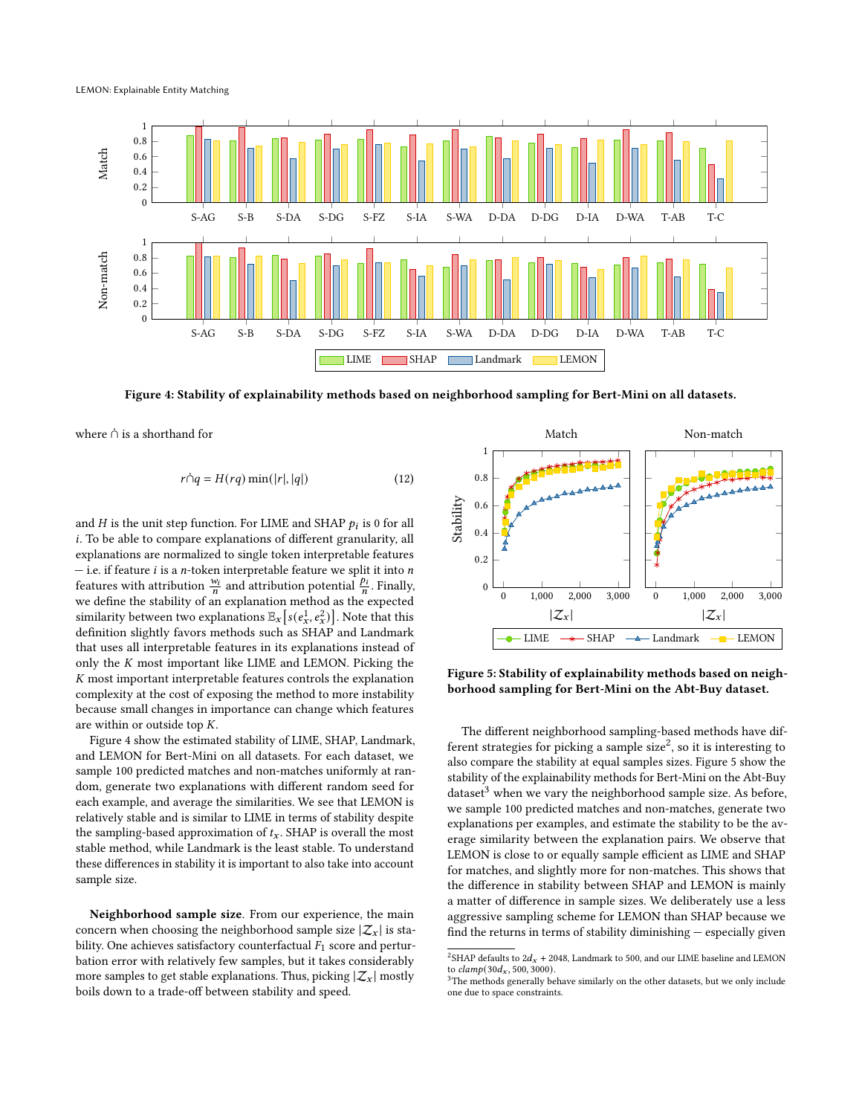LEMON: Explainable Entity Matching

<span id="page-10-0"></span>

Figure 4: Stability of explainability methods based on neighborhood sampling for Bert-Mini on all datasets.

where  $\dot{\cap}$  is a shorthand for

$$
r \dot{\cap} q = H(rq) \min(|r|, |q|)
$$
 (12)

and  $H$  is the unit step function. For LIME and SHAP  $p_i$  is 0 for all . To be able to compare explanations of different granularity, all explanations are normalized to single token interpretable features  $-$  i.e. if feature *i* is a *n*-token interpretable feature we split it into *n* features with attribution  $\frac{w_i}{n}$  and attribution potential  $\frac{p_i}{n}$ . Finally, we define the stability of an explanation method as the expected similarity between two explanations  $\mathbb{E}_x\big[s(e_x^1, e_x^2)\big]$ . Note that this definition slightly favors methods such as SHAP and Landmark that uses all interpretable features in its explanations instead of only the  $K$  most important like LIME and LEMON. Picking the  $K$  most important interpretable features controls the explanation complexity at the cost of exposing the method to more instability because small changes in importance can change which features are within or outside top  $K$ .

Figure [4](#page-10-0) show the estimated stability of LIME, SHAP, Landmark, and LEMON for Bert-Mini on all datasets. For each dataset, we sample 100 predicted matches and non-matches uniformly at random, generate two explanations with different random seed for each example, and average the similarities. We see that LEMON is relatively stable and is similar to LIME in terms of stability despite the sampling-based approximation of  $t_x$ . SHAP is overall the most stable method, while Landmark is the least stable. To understand these differences in stability it is important to also take into account sample size.

Neighborhood sample size. From our experience, the main concern when choosing the neighborhood sample size  $|\mathcal{Z}_x|$  is stability. One achieves satisfactory counterfactual  $F_1$  score and perturbation error with relatively few samples, but it takes considerably more samples to get stable explanations. Thus, picking  $|\mathcal{Z}_x|$  mostly boils down to a trade-off between stability and speed.

<span id="page-10-2"></span>

Figure 5: Stability of explainability methods based on neighborhood sampling for Bert-Mini on the Abt-Buy dataset.

The different neighborhood sampling-based methods have dif-ferent strategies for picking a sample size<sup>[2](#page-10-1)</sup>, so it is interesting to also compare the stability at equal samples sizes. Figure [5](#page-10-2) show the stability of the explainability methods for Bert-Mini on the Abt-Buy dataset $3$  when we vary the neighborhood sample size. As before, we sample 100 predicted matches and non-matches, generate two explanations per examples, and estimate the stability to be the average similarity between the explanation pairs. We observe that LEMON is close to or equally sample efficient as LIME and SHAP for matches, and slightly more for non-matches. This shows that the difference in stability between SHAP and LEMON is mainly a matter of difference in sample sizes. We deliberately use a less aggressive sampling scheme for LEMON than SHAP because we find the returns in terms of stability diminishing — especially given

<span id="page-10-1"></span><sup>&</sup>lt;sup>2</sup>SHAP defaults to  $2d_x + 2048$ , Landmark to 500, and our LIME baseline and LEMON to  $clamp(30d_x, 500, 3000)$ .

<span id="page-10-3"></span> $3$ The methods generally behave similarly on the other datasets, but we only include one due to space constraints.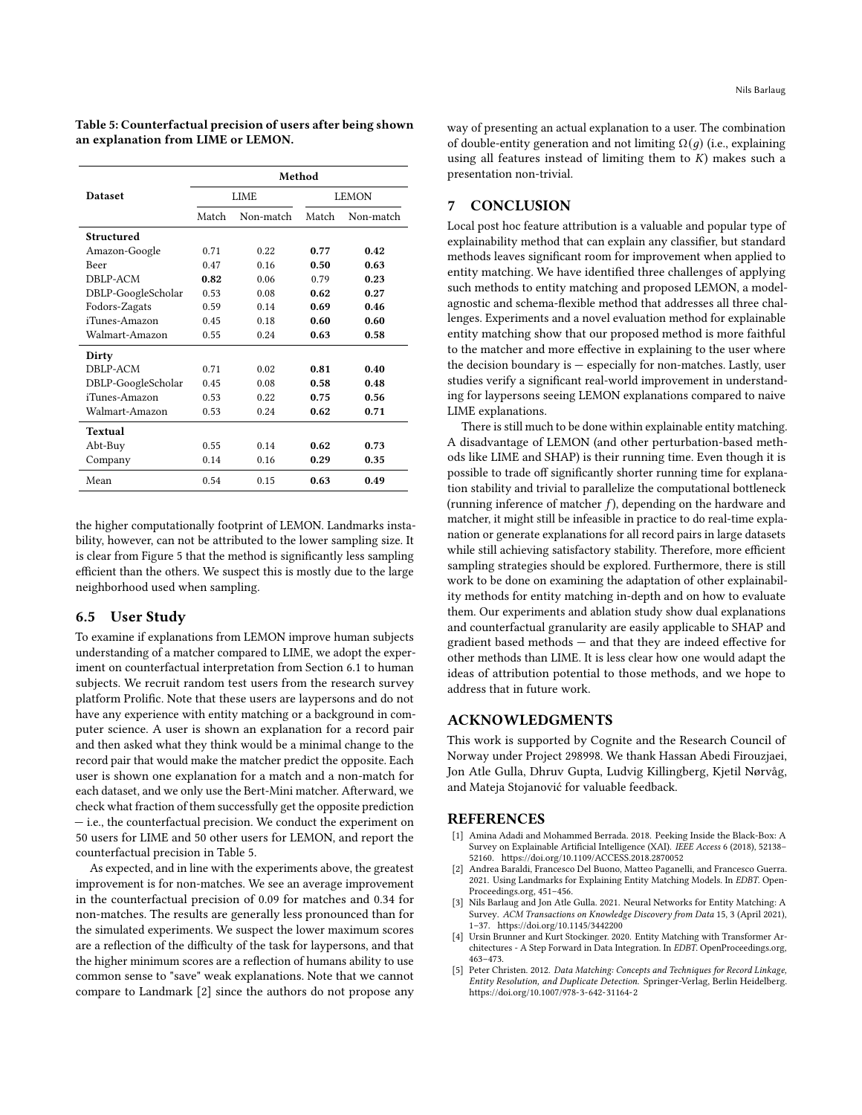<span id="page-11-5"></span>Table 5: Counterfactual precision of users after being shown an explanation from LIME or LEMON.

|                    | Method |           |       |           |  |  |  |  |  |  |
|--------------------|--------|-----------|-------|-----------|--|--|--|--|--|--|
| <b>Dataset</b>     |        | LIME      | LEMON |           |  |  |  |  |  |  |
|                    | Match  | Non-match | Match | Non-match |  |  |  |  |  |  |
| Structured         |        |           |       |           |  |  |  |  |  |  |
| Amazon-Google      | 0.71   | 0.22      | 0.77  | 0.42      |  |  |  |  |  |  |
| Beer               | 0.47   | 0.16      | 0.50  | 0.63      |  |  |  |  |  |  |
| DBLP-ACM           | 0.82   | 0.06      | 0.79  | 0.23      |  |  |  |  |  |  |
| DBLP-GoogleScholar | 0.53   | 0.08      | 0.62  | 0.27      |  |  |  |  |  |  |
| Fodors-Zagats      | 0.59   | 0.14      | 0.69  | 0.46      |  |  |  |  |  |  |
| iTunes-Amazon      | 0.45   | 0.18      | 0.60  | 0.60      |  |  |  |  |  |  |
| Walmart-Amazon     | 0.55   | 0.24      | 0.63  | 0.58      |  |  |  |  |  |  |
| Dirty              |        |           |       |           |  |  |  |  |  |  |
| DBLP-ACM           | 0.71   | 0.02      | 0.81  | 0.40      |  |  |  |  |  |  |
| DBLP-GoogleScholar | 0.45   | 0.08      | 0.58  | 0.48      |  |  |  |  |  |  |
| iTunes-Amazon      | 0.53   | 0.22      | 0.75  | 0.56      |  |  |  |  |  |  |
| Walmart-Amazon     | 0.53   | 0.24      | 0.62  | 0.71      |  |  |  |  |  |  |
| <b>Textual</b>     |        |           |       |           |  |  |  |  |  |  |
| Abt-Buy            | 0.55   | 0.14      | 0.62  | 0.73      |  |  |  |  |  |  |
| Company            | 0.14   | 0.16      | 0.29  | 0.35      |  |  |  |  |  |  |
| Mean               | 0.54   | 0.15      | 0.63  | 0.49      |  |  |  |  |  |  |

the higher computationally footprint of LEMON. Landmarks instability, however, can not be attributed to the lower sampling size. It is clear from Figure [5](#page-10-2) that the method is significantly less sampling efficient than the others. We suspect this is mostly due to the large neighborhood used when sampling.

# 6.5 User Study

To examine if explanations from LEMON improve human subjects understanding of a matcher compared to LIME, we adopt the experiment on counterfactual interpretation from Section [6.1](#page-7-0) to human subjects. We recruit random test users from the research survey platform Prolific. Note that these users are laypersons and do not have any experience with entity matching or a background in computer science. A user is shown an explanation for a record pair and then asked what they think would be a minimal change to the record pair that would make the matcher predict the opposite. Each user is shown one explanation for a match and a non-match for each dataset, and we only use the Bert-Mini matcher. Afterward, we check what fraction of them successfully get the opposite prediction — i.e., the counterfactual precision. We conduct the experiment on 50 users for LIME and 50 other users for LEMON, and report the counterfactual precision in Table [5.](#page-11-5)

As expected, and in line with the experiments above, the greatest improvement is for non-matches. We see an average improvement in the counterfactual precision of 0.09 for matches and 0.34 for non-matches. The results are generally less pronounced than for the simulated experiments. We suspect the lower maximum scores are a reflection of the difficulty of the task for laypersons, and that the higher minimum scores are a reflection of humans ability to use common sense to "save" weak explanations. Note that we cannot compare to Landmark [\[2\]](#page-11-2) since the authors do not propose any

way of presenting an actual explanation to a user. The combination of double-entity generation and not limiting  $\Omega(q)$  (i.e., explaining using all features instead of limiting them to  $K$ ) makes such a presentation non-trivial.

# 7 CONCLUSION

Local post hoc feature attribution is a valuable and popular type of explainability method that can explain any classifier, but standard methods leaves significant room for improvement when applied to entity matching. We have identified three challenges of applying such methods to entity matching and proposed LEMON, a modelagnostic and schema-flexible method that addresses all three challenges. Experiments and a novel evaluation method for explainable entity matching show that our proposed method is more faithful to the matcher and more effective in explaining to the user where the decision boundary is — especially for non-matches. Lastly, user studies verify a significant real-world improvement in understanding for laypersons seeing LEMON explanations compared to naive LIME explanations.

There is still much to be done within explainable entity matching. A disadvantage of LEMON (and other perturbation-based methods like LIME and SHAP) is their running time. Even though it is possible to trade off significantly shorter running time for explanation stability and trivial to parallelize the computational bottleneck (running inference of matcher  $f$ ), depending on the hardware and matcher, it might still be infeasible in practice to do real-time explanation or generate explanations for all record pairs in large datasets while still achieving satisfactory stability. Therefore, more efficient sampling strategies should be explored. Furthermore, there is still work to be done on examining the adaptation of other explainability methods for entity matching in-depth and on how to evaluate them. Our experiments and ablation study show dual explanations and counterfactual granularity are easily applicable to SHAP and gradient based methods — and that they are indeed effective for other methods than LIME. It is less clear how one would adapt the ideas of attribution potential to those methods, and we hope to address that in future work.

# ACKNOWLEDGMENTS

This work is supported by Cognite and the Research Council of Norway under Project 298998. We thank Hassan Abedi Firouzjaei, Jon Atle Gulla, Dhruv Gupta, Ludvig Killingberg, Kjetil Nørvåg, and Mateja Stojanović for valuable feedback.

## **REFERENCES**

- <span id="page-11-1"></span>[1] Amina Adadi and Mohammed Berrada. 2018. Peeking Inside the Black-Box: A Survey on Explainable Artificial Intelligence (XAI). IEEE Access 6 (2018), 52138– 52160.<https://doi.org/10.1109/ACCESS.2018.2870052>
- <span id="page-11-2"></span>[2] Andrea Baraldi, Francesco Del Buono, Matteo Paganelli, and Francesco Guerra. 2021. Using Landmarks for Explaining Entity Matching Models. In EDBT. Open-Proceedings.org, 451–456.
- <span id="page-11-4"></span>[3] Nils Barlaug and Jon Atle Gulla. 2021. Neural Networks for Entity Matching: A Survey. ACM Transactions on Knowledge Discovery from Data 15, 3 (April 2021), 1–37.<https://doi.org/10.1145/3442200>
- <span id="page-11-0"></span>Ursin Brunner and Kurt Stockinger. 2020. Entity Matching with Transformer Architectures - A Step Forward in Data Integration. In EDBT. OpenProceedings.org, 463–473.
- <span id="page-11-3"></span>[5] Peter Christen. 2012. Data Matching: Concepts and Techniques for Record Linkage, Entity Resolution, and Duplicate Detection. Springer-Verlag, Berlin Heidelberg. <https://doi.org/10.1007/978-3-642-31164-2>